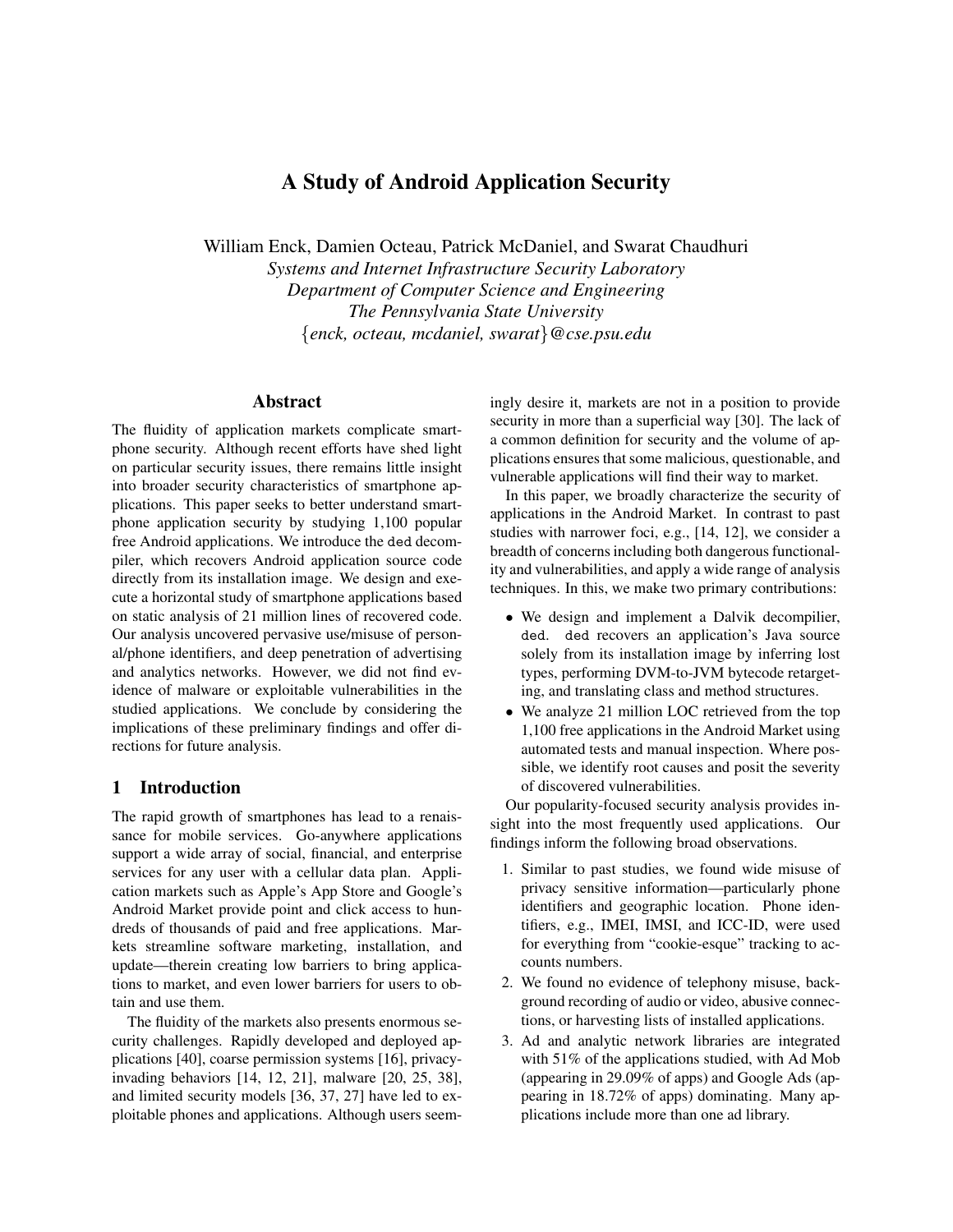# A Study of Android Application Security

William Enck, Damien Octeau, Patrick McDaniel, and Swarat Chaudhuri

*Systems and Internet Infrastructure Security Laboratory Department of Computer Science and Engineering The Pennsylvania State University* {*enck, octeau, mcdaniel, swarat*}*@cse.psu.edu*

## Abstract

The fluidity of application markets complicate smartphone security. Although recent efforts have shed light on particular security issues, there remains little insight into broader security characteristics of smartphone applications. This paper seeks to better understand smartphone application security by studying 1,100 popular free Android applications. We introduce the ded decompiler, which recovers Android application source code directly from its installation image. We design and execute a horizontal study of smartphone applications based on static analysis of 21 million lines of recovered code. Our analysis uncovered pervasive use/misuse of personal/phone identifiers, and deep penetration of advertising and analytics networks. However, we did not find evidence of malware or exploitable vulnerabilities in the studied applications. We conclude by considering the implications of these preliminary findings and offer directions for future analysis.

## 1 Introduction

The rapid growth of smartphones has lead to a renaissance for mobile services. Go-anywhere applications support a wide array of social, financial, and enterprise services for any user with a cellular data plan. Application markets such as Apple's App Store and Google's Android Market provide point and click access to hundreds of thousands of paid and free applications. Markets streamline software marketing, installation, and update—therein creating low barriers to bring applications to market, and even lower barriers for users to obtain and use them.

The fluidity of the markets also presents enormous security challenges. Rapidly developed and deployed applications [40], coarse permission systems [16], privacyinvading behaviors [14, 12, 21], malware [20, 25, 38], and limited security models [36, 37, 27] have led to exploitable phones and applications. Although users seemingly desire it, markets are not in a position to provide security in more than a superficial way [30]. The lack of a common definition for security and the volume of applications ensures that some malicious, questionable, and vulnerable applications will find their way to market.

In this paper, we broadly characterize the security of applications in the Android Market. In contrast to past studies with narrower foci, e.g., [14, 12], we consider a breadth of concerns including both dangerous functionality and vulnerabilities, and apply a wide range of analysis techniques. In this, we make two primary contributions:

- We design and implement a Dalvik decompilier, ded. ded recovers an application's Java source solely from its installation image by inferring lost types, performing DVM-to-JVM bytecode retargeting, and translating class and method structures.
- We analyze 21 million LOC retrieved from the top 1,100 free applications in the Android Market using automated tests and manual inspection. Where possible, we identify root causes and posit the severity of discovered vulnerabilities.

Our popularity-focused security analysis provides insight into the most frequently used applications. Our findings inform the following broad observations.

- 1. Similar to past studies, we found wide misuse of privacy sensitive information—particularly phone identifiers and geographic location. Phone identifiers, e.g., IMEI, IMSI, and ICC-ID, were used for everything from "cookie-esque" tracking to accounts numbers.
- 2. We found no evidence of telephony misuse, background recording of audio or video, abusive connections, or harvesting lists of installed applications.
- 3. Ad and analytic network libraries are integrated with 51% of the applications studied, with Ad Mob (appearing in 29.09% of apps) and Google Ads (appearing in 18.72% of apps) dominating. Many applications include more than one ad library.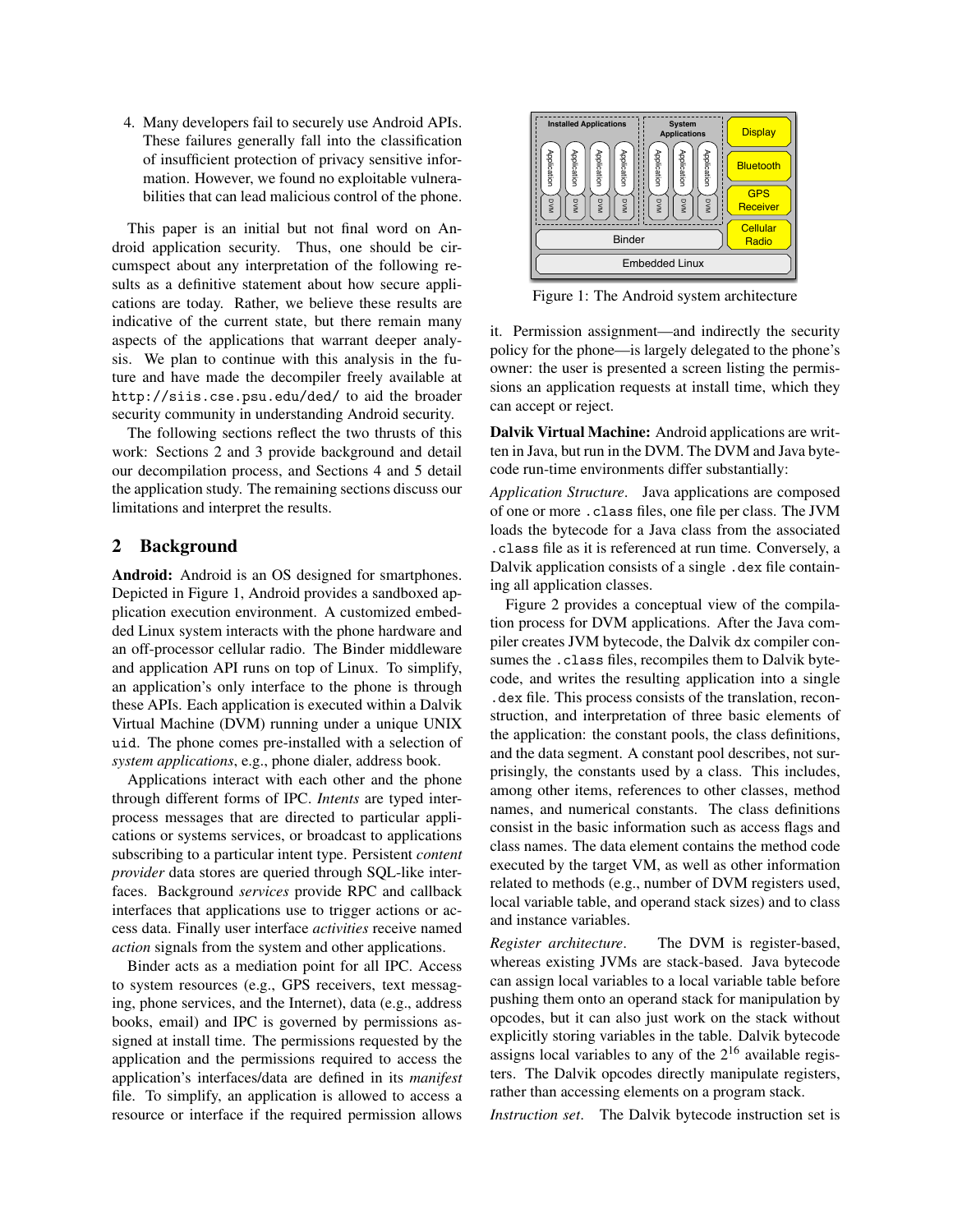4. Many developers fail to securely use Android APIs. These failures generally fall into the classification of insufficient protection of privacy sensitive information. However, we found no exploitable vulnerabilities that can lead malicious control of the phone.

This paper is an initial but not final word on Android application security. Thus, one should be circumspect about any interpretation of the following results as a definitive statement about how secure applications are today. Rather, we believe these results are indicative of the current state, but there remain many aspects of the applications that warrant deeper analysis. We plan to continue with this analysis in the future and have made the decompiler freely available at http://siis.cse.psu.edu/ded/ to aid the broader security community in understanding Android security.

The following sections reflect the two thrusts of this work: Sections 2 and 3 provide background and detail our decompilation process, and Sections 4 and 5 detail the application study. The remaining sections discuss our limitations and interpret the results.

## 2 Background

Android: Android is an OS designed for smartphones. Depicted in Figure 1, Android provides a sandboxed application execution environment. A customized embedded Linux system interacts with the phone hardware and an off-processor cellular radio. The Binder middleware and application API runs on top of Linux. To simplify, an application's only interface to the phone is through these APIs. Each application is executed within a Dalvik Virtual Machine (DVM) running under a unique UNIX uid. The phone comes pre-installed with a selection of *system applications*, e.g., phone dialer, address book.

Applications interact with each other and the phone through different forms of IPC. *Intents* are typed interprocess messages that are directed to particular applications or systems services, or broadcast to applications subscribing to a particular intent type. Persistent *content provider* data stores are queried through SQL-like interfaces. Background *services* provide RPC and callback interfaces that applications use to trigger actions or access data. Finally user interface *activities* receive named *action* signals from the system and other applications.

Binder acts as a mediation point for all IPC. Access to system resources (e.g., GPS receivers, text messaging, phone services, and the Internet), data (e.g., address books, email) and IPC is governed by permissions assigned at install time. The permissions requested by the application and the permissions required to access the application's interfaces/data are defined in its *manifest* file. To simplify, an application is allowed to access a resource or interface if the required permission allows



Figure 1: The Android system architecture

it. Permission assignment—and indirectly the security policy for the phone—is largely delegated to the phone's owner: the user is presented a screen listing the permissions an application requests at install time, which they can accept or reject.

Dalvik Virtual Machine: Android applications are written in Java, but run in the DVM. The DVM and Java bytecode run-time environments differ substantially:

*Application Structure*. Java applications are composed of one or more .class files, one file per class. The JVM loads the bytecode for a Java class from the associated .class file as it is referenced at run time. Conversely, a Dalvik application consists of a single .dex file containing all application classes.

Figure 2 provides a conceptual view of the compilation process for DVM applications. After the Java compiler creates JVM bytecode, the Dalvik dx compiler consumes the .class files, recompiles them to Dalvik bytecode, and writes the resulting application into a single .dex file. This process consists of the translation, reconstruction, and interpretation of three basic elements of the application: the constant pools, the class definitions, and the data segment. A constant pool describes, not surprisingly, the constants used by a class. This includes, among other items, references to other classes, method names, and numerical constants. The class definitions consist in the basic information such as access flags and class names. The data element contains the method code executed by the target VM, as well as other information related to methods (e.g., number of DVM registers used, local variable table, and operand stack sizes) and to class and instance variables.

*Register architecture*. The DVM is register-based, whereas existing JVMs are stack-based. Java bytecode can assign local variables to a local variable table before pushing them onto an operand stack for manipulation by opcodes, but it can also just work on the stack without explicitly storing variables in the table. Dalvik bytecode assigns local variables to any of the  $2^{16}$  available registers. The Dalvik opcodes directly manipulate registers, rather than accessing elements on a program stack.

*Instruction set*. The Dalvik bytecode instruction set is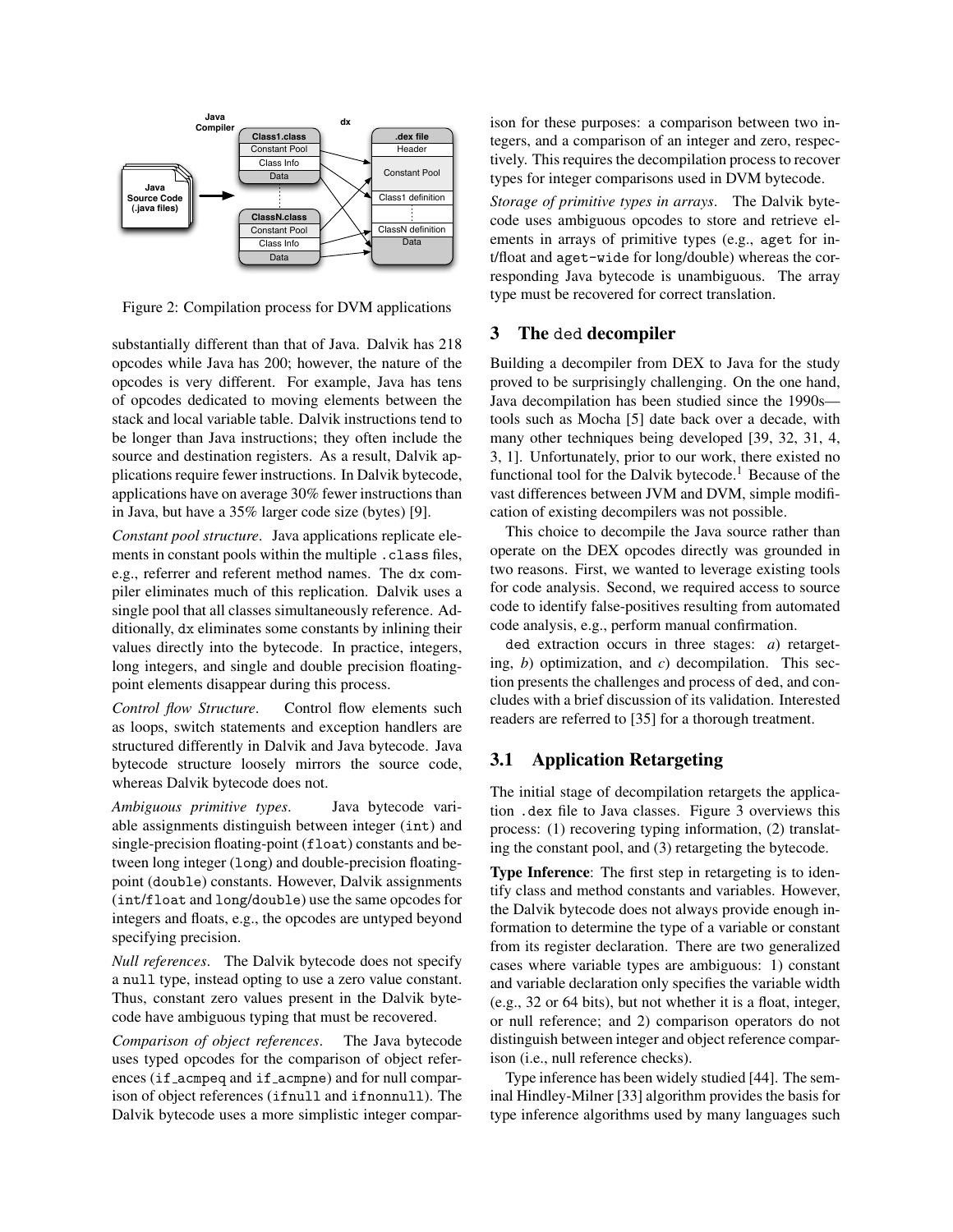

Figure 2: Compilation process for DVM applications

substantially different than that of Java. Dalvik has 218 opcodes while Java has 200; however, the nature of the opcodes is very different. For example, Java has tens of opcodes dedicated to moving elements between the stack and local variable table. Dalvik instructions tend to be longer than Java instructions; they often include the source and destination registers. As a result, Dalvik applications require fewer instructions. In Dalvik bytecode, applications have on average 30% fewer instructions than in Java, but have a 35% larger code size (bytes) [9].

*Constant pool structure*. Java applications replicate elements in constant pools within the multiple .class files, e.g., referrer and referent method names. The dx compiler eliminates much of this replication. Dalvik uses a single pool that all classes simultaneously reference. Additionally, dx eliminates some constants by inlining their values directly into the bytecode. In practice, integers, long integers, and single and double precision floatingpoint elements disappear during this process.

*Control flow Structure*. Control flow elements such as loops, switch statements and exception handlers are structured differently in Dalvik and Java bytecode. Java bytecode structure loosely mirrors the source code, whereas Dalvik bytecode does not.

*Ambiguous primitive types*. Java bytecode variable assignments distinguish between integer (int) and single-precision floating-point (float) constants and between long integer (long) and double-precision floatingpoint (double) constants. However, Dalvik assignments (int/float and long/double) use the same opcodes for integers and floats, e.g., the opcodes are untyped beyond specifying precision.

*Null references*. The Dalvik bytecode does not specify a null type, instead opting to use a zero value constant. Thus, constant zero values present in the Dalvik bytecode have ambiguous typing that must be recovered.

*Comparison of object references*. The Java bytecode uses typed opcodes for the comparison of object references (if acmpeq and if acmpne) and for null comparison of object references (ifnull and ifnonnull). The Dalvik bytecode uses a more simplistic integer comparison for these purposes: a comparison between two integers, and a comparison of an integer and zero, respectively. This requires the decompilation process to recover types for integer comparisons used in DVM bytecode.

*Storage of primitive types in arrays*. The Dalvik bytecode uses ambiguous opcodes to store and retrieve elements in arrays of primitive types (e.g., aget for int/float and aget-wide for long/double) whereas the corresponding Java bytecode is unambiguous. The array type must be recovered for correct translation.

## 3 The ded decompiler

Building a decompiler from DEX to Java for the study proved to be surprisingly challenging. On the one hand, Java decompilation has been studied since the 1990s tools such as Mocha [5] date back over a decade, with many other techniques being developed [39, 32, 31, 4, 3, 1]. Unfortunately, prior to our work, there existed no functional tool for the Dalvik bytecode.<sup>1</sup> Because of the vast differences between JVM and DVM, simple modification of existing decompilers was not possible.

This choice to decompile the Java source rather than operate on the DEX opcodes directly was grounded in two reasons. First, we wanted to leverage existing tools for code analysis. Second, we required access to source code to identify false-positives resulting from automated code analysis, e.g., perform manual confirmation.

ded extraction occurs in three stages: *a*) retargeting, *b*) optimization, and *c*) decompilation. This section presents the challenges and process of ded, and concludes with a brief discussion of its validation. Interested readers are referred to [35] for a thorough treatment.

## 3.1 Application Retargeting

The initial stage of decompilation retargets the application .dex file to Java classes. Figure 3 overviews this process: (1) recovering typing information, (2) translating the constant pool, and (3) retargeting the bytecode.

Type Inference: The first step in retargeting is to identify class and method constants and variables. However, the Dalvik bytecode does not always provide enough information to determine the type of a variable or constant from its register declaration. There are two generalized cases where variable types are ambiguous: 1) constant and variable declaration only specifies the variable width (e.g., 32 or 64 bits), but not whether it is a float, integer, or null reference; and 2) comparison operators do not distinguish between integer and object reference comparison (i.e., null reference checks).

Type inference has been widely studied [44]. The seminal Hindley-Milner [33] algorithm provides the basis for type inference algorithms used by many languages such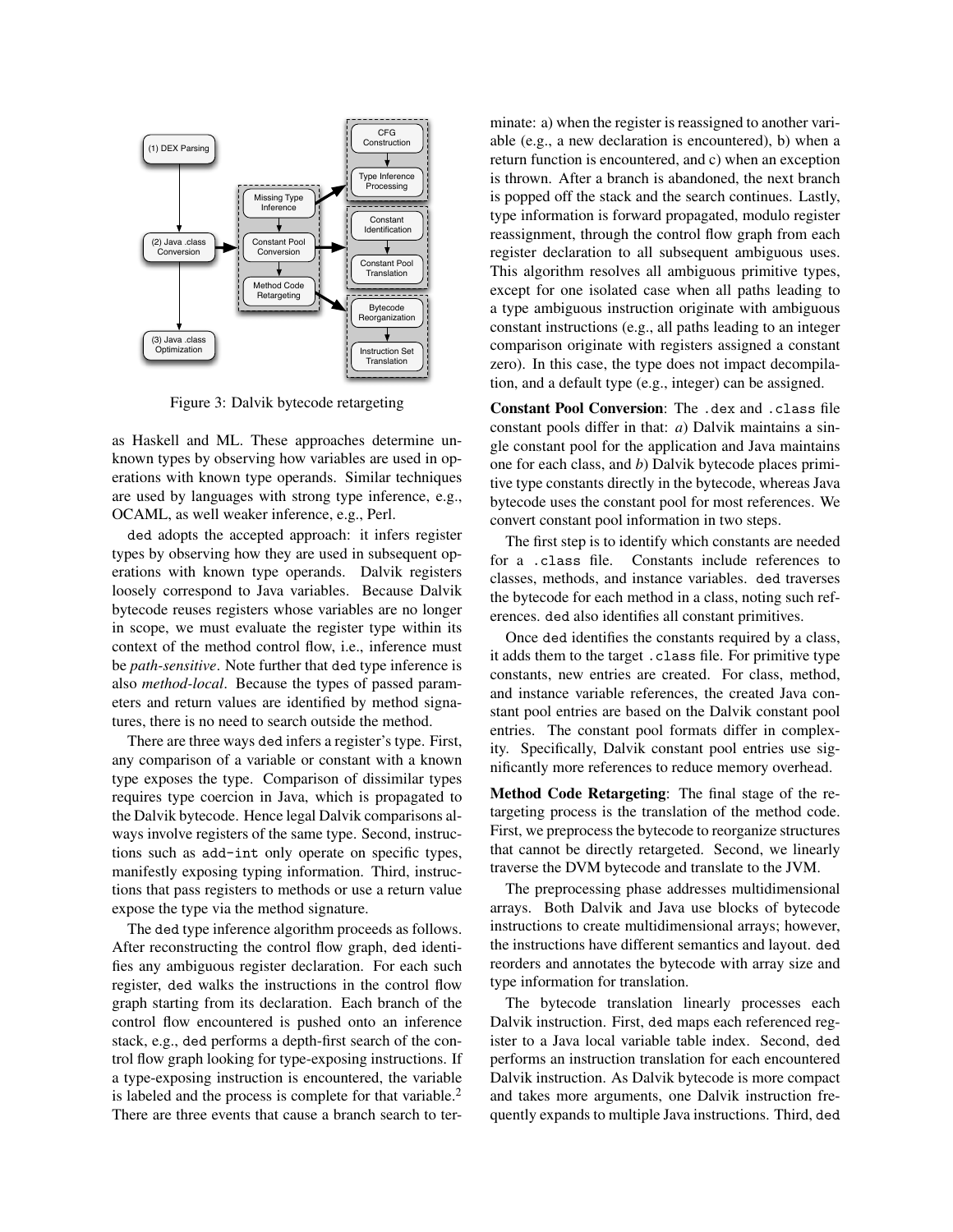

Figure 3: Dalvik bytecode retargeting

as Haskell and ML. These approaches determine unknown types by observing how variables are used in operations with known type operands. Similar techniques are used by languages with strong type inference, e.g., OCAML, as well weaker inference, e.g., Perl.

ded adopts the accepted approach: it infers register types by observing how they are used in subsequent operations with known type operands. Dalvik registers loosely correspond to Java variables. Because Dalvik bytecode reuses registers whose variables are no longer in scope, we must evaluate the register type within its context of the method control flow, i.e., inference must be *path-sensitive*. Note further that ded type inference is also *method-local*. Because the types of passed parameters and return values are identified by method signatures, there is no need to search outside the method.

There are three ways ded infers a register's type. First, any comparison of a variable or constant with a known type exposes the type. Comparison of dissimilar types requires type coercion in Java, which is propagated to the Dalvik bytecode. Hence legal Dalvik comparisons always involve registers of the same type. Second, instructions such as add-int only operate on specific types, manifestly exposing typing information. Third, instructions that pass registers to methods or use a return value expose the type via the method signature.

The ded type inference algorithm proceeds as follows. After reconstructing the control flow graph, ded identifies any ambiguous register declaration. For each such register, ded walks the instructions in the control flow graph starting from its declaration. Each branch of the control flow encountered is pushed onto an inference stack, e.g., ded performs a depth-first search of the control flow graph looking for type-exposing instructions. If a type-exposing instruction is encountered, the variable is labeled and the process is complete for that variable. $<sup>2</sup>$ </sup> There are three events that cause a branch search to terminate: a) when the register is reassigned to another variable (e.g., a new declaration is encountered), b) when a return function is encountered, and c) when an exception is thrown. After a branch is abandoned, the next branch is popped off the stack and the search continues. Lastly, type information is forward propagated, modulo register reassignment, through the control flow graph from each register declaration to all subsequent ambiguous uses. This algorithm resolves all ambiguous primitive types, except for one isolated case when all paths leading to a type ambiguous instruction originate with ambiguous constant instructions (e.g., all paths leading to an integer comparison originate with registers assigned a constant zero). In this case, the type does not impact decompilation, and a default type (e.g., integer) can be assigned.

Constant Pool Conversion: The .dex and .class file constant pools differ in that: *a*) Dalvik maintains a single constant pool for the application and Java maintains one for each class, and *b*) Dalvik bytecode places primitive type constants directly in the bytecode, whereas Java bytecode uses the constant pool for most references. We convert constant pool information in two steps.

The first step is to identify which constants are needed for a .class file. Constants include references to classes, methods, and instance variables. ded traverses the bytecode for each method in a class, noting such references. ded also identifies all constant primitives.

Once ded identifies the constants required by a class, it adds them to the target .class file. For primitive type constants, new entries are created. For class, method, and instance variable references, the created Java constant pool entries are based on the Dalvik constant pool entries. The constant pool formats differ in complexity. Specifically, Dalvik constant pool entries use significantly more references to reduce memory overhead.

Method Code Retargeting: The final stage of the retargeting process is the translation of the method code. First, we preprocess the bytecode to reorganize structures that cannot be directly retargeted. Second, we linearly traverse the DVM bytecode and translate to the JVM.

The preprocessing phase addresses multidimensional arrays. Both Dalvik and Java use blocks of bytecode instructions to create multidimensional arrays; however, the instructions have different semantics and layout. ded reorders and annotates the bytecode with array size and type information for translation.

The bytecode translation linearly processes each Dalvik instruction. First, ded maps each referenced register to a Java local variable table index. Second, ded performs an instruction translation for each encountered Dalvik instruction. As Dalvik bytecode is more compact and takes more arguments, one Dalvik instruction frequently expands to multiple Java instructions. Third, ded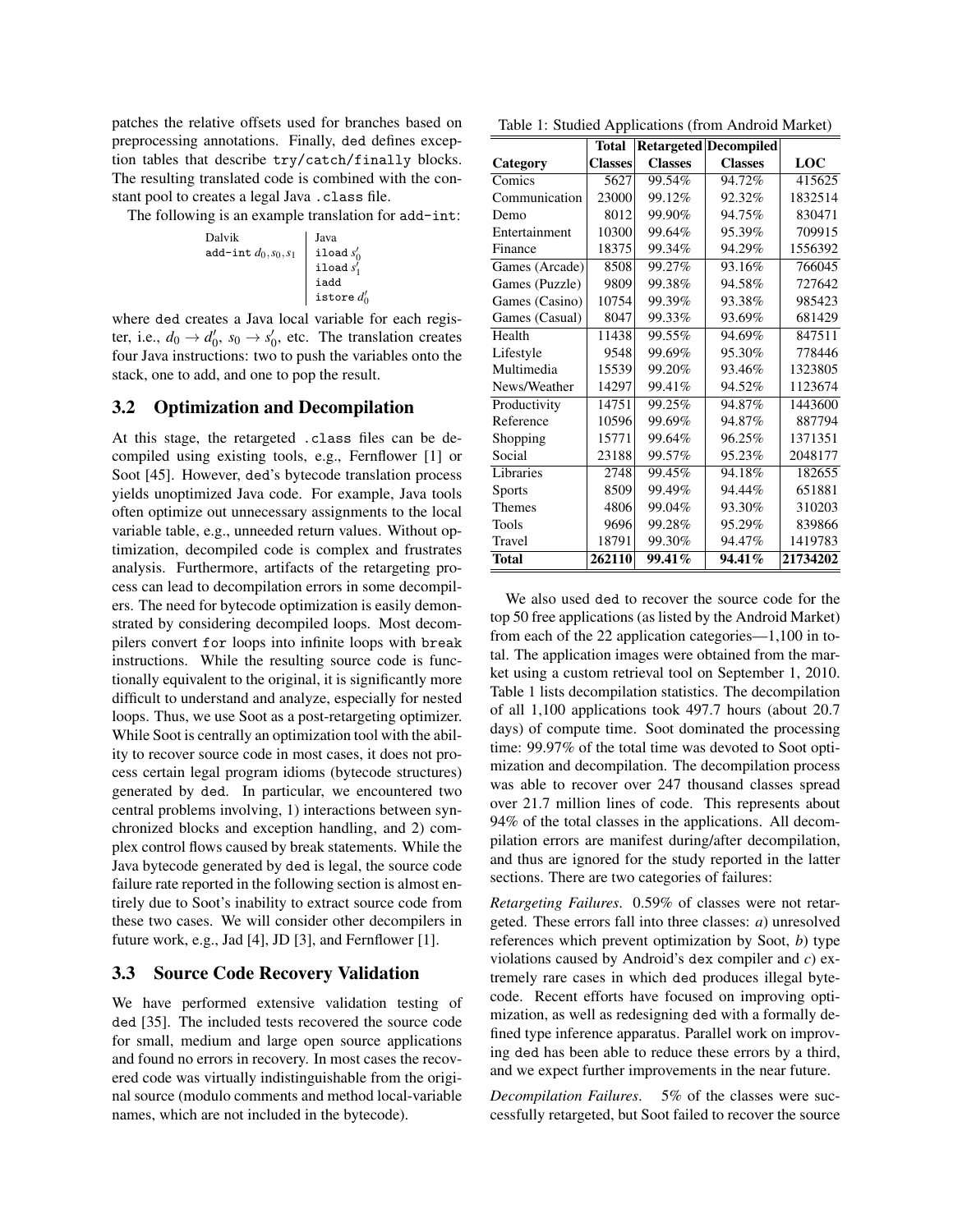patches the relative offsets used for branches based on preprocessing annotations. Finally, ded defines exception tables that describe try/catch/finally blocks. The resulting translated code is combined with the constant pool to creates a legal Java .class file.

The following is an example translation for add-int:

Dalvik  
\nadd-int 
$$
d_0, s_0, s_1
$$

\nload  $s'_0$   
\n $\begin{array}{c}\n \text{Java} \\
\text{load } s'_0 \\
\text{load } s'_1 \\
\text{isotope } d'_0\n \end{array}$ 

where ded creates a Java local variable for each register, i.e.,  $d_0 \rightarrow d'_0$ ,  $s_0 \rightarrow s'_0$ , etc. The translation creates four Java instructions: two to push the variables onto the stack, one to add, and one to pop the result.

## 3.2 Optimization and Decompilation

At this stage, the retargeted .class files can be decompiled using existing tools, e.g., Fernflower [1] or Soot [45]. However, ded's bytecode translation process yields unoptimized Java code. For example, Java tools often optimize out unnecessary assignments to the local variable table, e.g., unneeded return values. Without optimization, decompiled code is complex and frustrates analysis. Furthermore, artifacts of the retargeting process can lead to decompilation errors in some decompilers. The need for bytecode optimization is easily demonstrated by considering decompiled loops. Most decompilers convert for loops into infinite loops with break instructions. While the resulting source code is functionally equivalent to the original, it is significantly more difficult to understand and analyze, especially for nested loops. Thus, we use Soot as a post-retargeting optimizer. While Soot is centrally an optimization tool with the ability to recover source code in most cases, it does not process certain legal program idioms (bytecode structures) generated by ded. In particular, we encountered two central problems involving, 1) interactions between synchronized blocks and exception handling, and 2) complex control flows caused by break statements. While the Java bytecode generated by ded is legal, the source code failure rate reported in the following section is almost entirely due to Soot's inability to extract source code from these two cases. We will consider other decompilers in future work, e.g., Jad [4], JD [3], and Fernflower [1].

## 3.3 Source Code Recovery Validation

We have performed extensive validation testing of ded [35]. The included tests recovered the source code for small, medium and large open source applications and found no errors in recovery. In most cases the recovered code was virtually indistinguishable from the original source (modulo comments and method local-variable names, which are not included in the bytecode).

Table 1: Studied Applications (from Android Market)

|                | Total          |                | <b>Retargeted Decompiled</b> |          |
|----------------|----------------|----------------|------------------------------|----------|
| Category       | <b>Classes</b> | <b>Classes</b> | <b>Classes</b>               | LOC      |
| Comics         | 5627           | 99.54%         | 94.72%                       | 415625   |
| Communication  | 23000          | 99.12%         | 92.32%                       | 1832514  |
| Demo           | 8012           | 99.90%         | 94.75%                       | 830471   |
| Entertainment  | 10300          | 99.64%         | 95.39%                       | 709915   |
| Finance        | 18375          | 99.34%         | 94.29%                       | 1556392  |
| Games (Arcade) | 8508           | 99.27%         | 93.16%                       | 766045   |
| Games (Puzzle) | 9809           | 99.38%         | 94.58%                       | 727642   |
| Games (Casino) | 10754          | 99.39%         | 93.38%                       | 985423   |
| Games (Casual) | 8047           | 99.33%         | 93.69%                       | 681429   |
| Health         | 11438          | 99.55%         | 94.69%                       | 847511   |
| Lifestyle      | 9548           | 99.69%         | 95.30%                       | 778446   |
| Multimedia     | 15539          | 99.20%         | 93.46%                       | 1323805  |
| News/Weather   | 14297          | 99.41%         | 94.52%                       | 1123674  |
| Productivity   | 14751          | 99.25%         | 94.87%                       | 1443600  |
| Reference      | 10596          | 99.69%         | 94.87%                       | 887794   |
| Shopping       | 15771          | 99.64%         | 96.25%                       | 1371351  |
| Social         | 23188          | 99.57%         | 95.23%                       | 2048177  |
| Libraries      | 2748           | 99.45%         | 94.18%                       | 182655   |
| <b>Sports</b>  | 8509           | 99.49%         | 94.44%                       | 651881   |
| <b>Themes</b>  | 4806           | 99.04%         | 93.30%                       | 310203   |
| Tools          | 9696           | 99.28%         | 95.29%                       | 839866   |
| Travel         | 18791          | 99.30%         | 94.47%                       | 1419783  |
| <b>Total</b>   | 262110         | 99.41%         | 94.41%                       | 21734202 |

We also used ded to recover the source code for the top 50 free applications (as listed by the Android Market) from each of the 22 application categories—1,100 in total. The application images were obtained from the market using a custom retrieval tool on September 1, 2010. Table 1 lists decompilation statistics. The decompilation of all 1,100 applications took 497.7 hours (about 20.7 days) of compute time. Soot dominated the processing time: 99.97% of the total time was devoted to Soot optimization and decompilation. The decompilation process was able to recover over 247 thousand classes spread over 21.7 million lines of code. This represents about 94% of the total classes in the applications. All decompilation errors are manifest during/after decompilation, and thus are ignored for the study reported in the latter sections. There are two categories of failures:

*Retargeting Failures*. 0.59% of classes were not retargeted. These errors fall into three classes: *a*) unresolved references which prevent optimization by Soot, *b*) type violations caused by Android's dex compiler and *c*) extremely rare cases in which ded produces illegal bytecode. Recent efforts have focused on improving optimization, as well as redesigning ded with a formally defined type inference apparatus. Parallel work on improving ded has been able to reduce these errors by a third, and we expect further improvements in the near future.

*Decompilation Failures*. 5% of the classes were successfully retargeted, but Soot failed to recover the source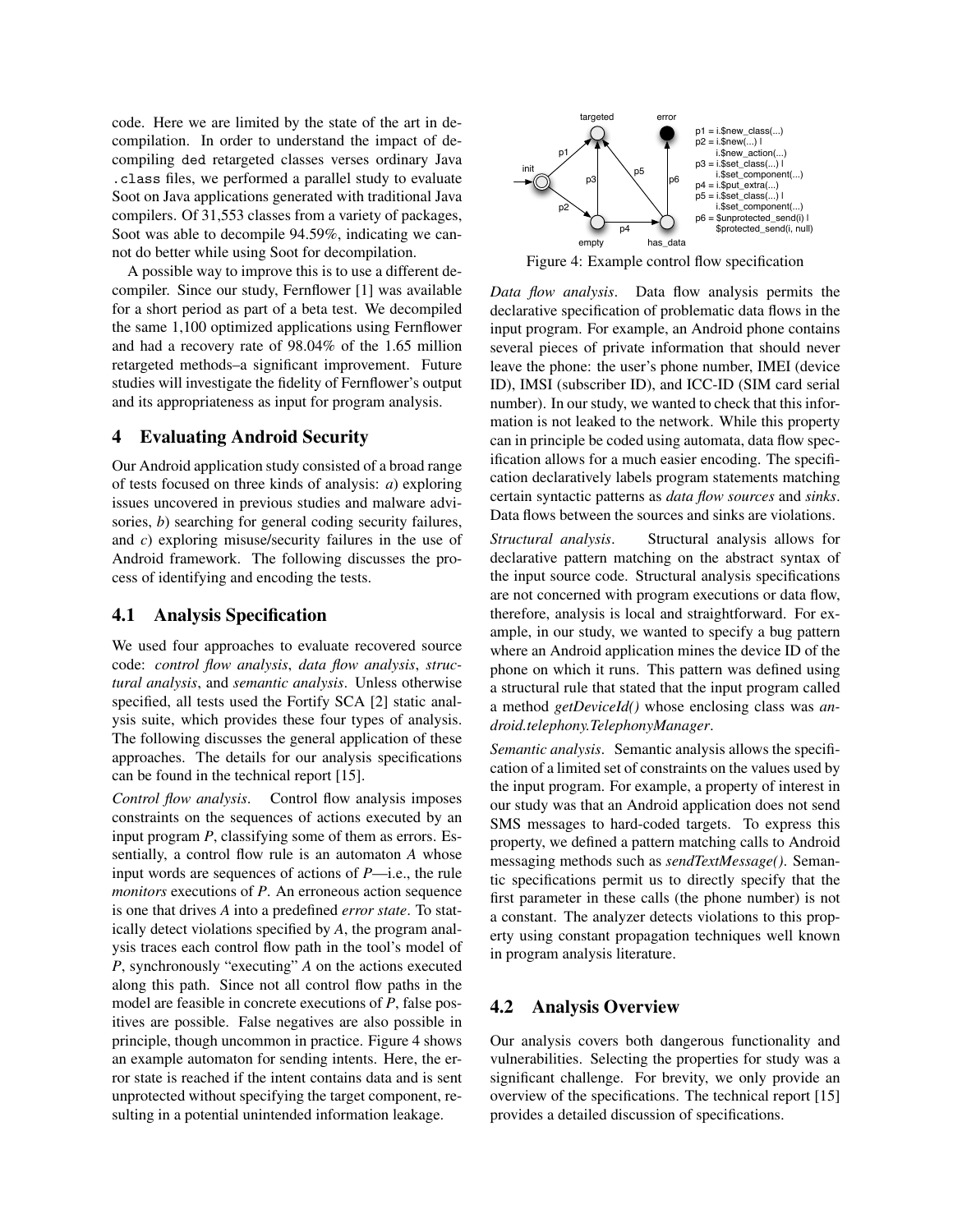code. Here we are limited by the state of the art in decompilation. In order to understand the impact of decompiling ded retargeted classes verses ordinary Java .class files, we performed a parallel study to evaluate Soot on Java applications generated with traditional Java compilers. Of 31,553 classes from a variety of packages, Soot was able to decompile 94.59%, indicating we cannot do better while using Soot for decompilation.

A possible way to improve this is to use a different decompiler. Since our study, Fernflower [1] was available for a short period as part of a beta test. We decompiled the same 1,100 optimized applications using Fernflower and had a recovery rate of 98.04% of the 1.65 million retargeted methods–a significant improvement. Future studies will investigate the fidelity of Fernflower's output and its appropriateness as input for program analysis.

## 4 Evaluating Android Security

Our Android application study consisted of a broad range of tests focused on three kinds of analysis: *a*) exploring issues uncovered in previous studies and malware advisories, *b*) searching for general coding security failures, and *c*) exploring misuse/security failures in the use of Android framework. The following discusses the process of identifying and encoding the tests.

## 4.1 Analysis Specification

We used four approaches to evaluate recovered source code: *control flow analysis*, *data flow analysis*, *structural analysis*, and *semantic analysis*. Unless otherwise specified, all tests used the Fortify SCA [2] static analysis suite, which provides these four types of analysis. The following discusses the general application of these approaches. The details for our analysis specifications can be found in the technical report [15].

*Control flow analysis*. Control flow analysis imposes constraints on the sequences of actions executed by an input program *P*, classifying some of them as errors. Essentially, a control flow rule is an automaton *A* whose input words are sequences of actions of *P*—i.e., the rule *monitors* executions of *P*. An erroneous action sequence is one that drives *A* into a predefined *error state*. To statically detect violations specified by *A*, the program analysis traces each control flow path in the tool's model of *P*, synchronously "executing" *A* on the actions executed along this path. Since not all control flow paths in the model are feasible in concrete executions of *P*, false positives are possible. False negatives are also possible in principle, though uncommon in practice. Figure 4 shows an example automaton for sending intents. Here, the error state is reached if the intent contains data and is sent unprotected without specifying the target component, resulting in a potential unintended information leakage.



Figure 4: Example control flow specification

*Data flow analysis*. Data flow analysis permits the declarative specification of problematic data flows in the input program. For example, an Android phone contains several pieces of private information that should never leave the phone: the user's phone number, IMEI (device ID), IMSI (subscriber ID), and ICC-ID (SIM card serial number). In our study, we wanted to check that this information is not leaked to the network. While this property can in principle be coded using automata, data flow specification allows for a much easier encoding. The specification declaratively labels program statements matching certain syntactic patterns as *data flow sources* and *sinks*. Data flows between the sources and sinks are violations.

*Structural analysis*. Structural analysis allows for declarative pattern matching on the abstract syntax of the input source code. Structural analysis specifications are not concerned with program executions or data flow, therefore, analysis is local and straightforward. For example, in our study, we wanted to specify a bug pattern where an Android application mines the device ID of the phone on which it runs. This pattern was defined using a structural rule that stated that the input program called a method *getDeviceId()* whose enclosing class was *android.telephony.TelephonyManager*.

*Semantic analysis*. Semantic analysis allows the specification of a limited set of constraints on the values used by the input program. For example, a property of interest in our study was that an Android application does not send SMS messages to hard-coded targets. To express this property, we defined a pattern matching calls to Android messaging methods such as *sendTextMessage()*. Semantic specifications permit us to directly specify that the first parameter in these calls (the phone number) is not a constant. The analyzer detects violations to this property using constant propagation techniques well known in program analysis literature.

## 4.2 Analysis Overview

Our analysis covers both dangerous functionality and vulnerabilities. Selecting the properties for study was a significant challenge. For brevity, we only provide an overview of the specifications. The technical report [15] provides a detailed discussion of specifications.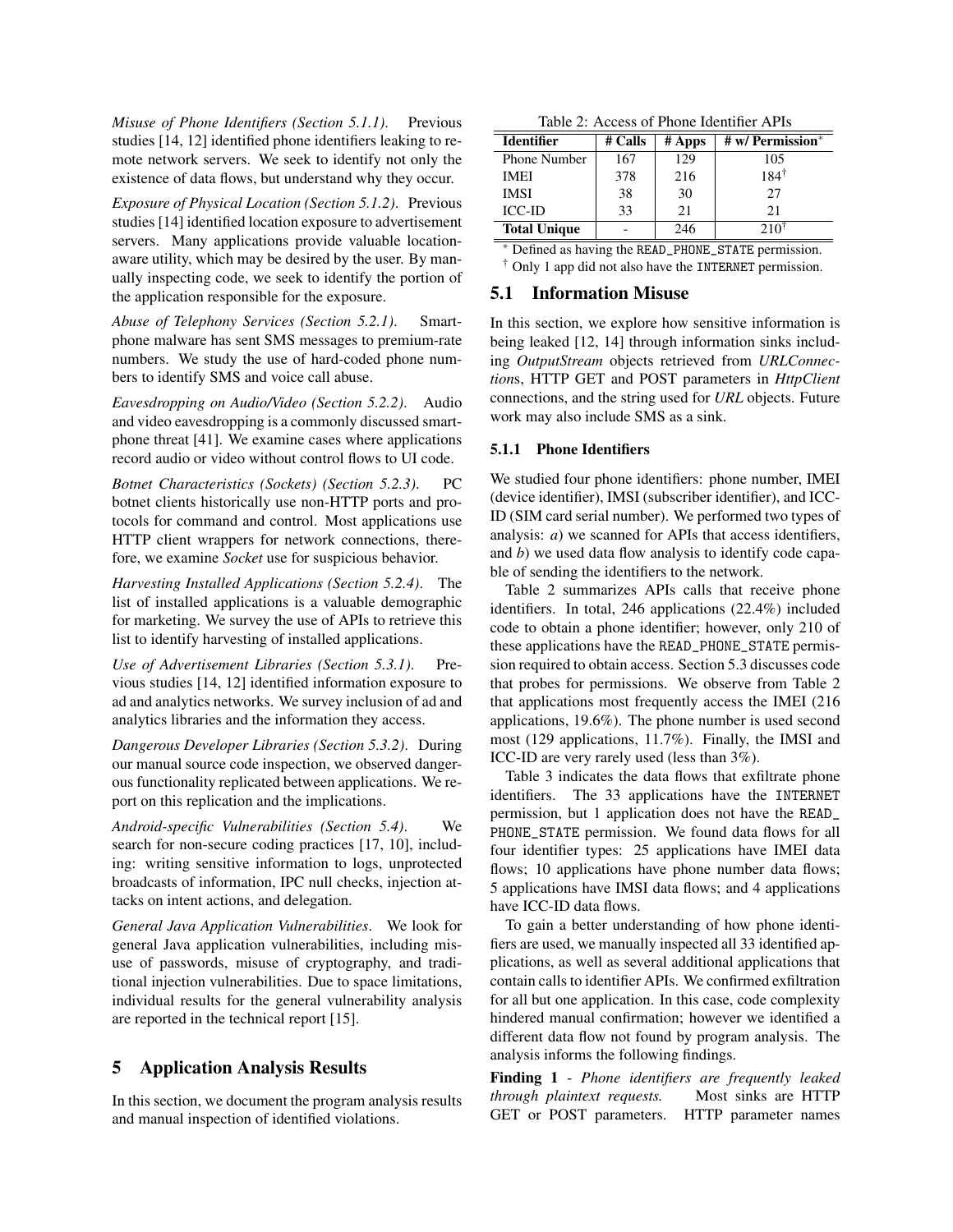*Misuse of Phone Identifiers (Section 5.1.1)*. Previous studies [14, 12] identified phone identifiers leaking to remote network servers. We seek to identify not only the existence of data flows, but understand why they occur.

*Exposure of Physical Location (Section 5.1.2)*. Previous studies [14] identified location exposure to advertisement servers. Many applications provide valuable locationaware utility, which may be desired by the user. By manually inspecting code, we seek to identify the portion of the application responsible for the exposure.

*Abuse of Telephony Services (Section 5.2.1)*. Smartphone malware has sent SMS messages to premium-rate numbers. We study the use of hard-coded phone numbers to identify SMS and voice call abuse.

*Eavesdropping on Audio/Video (Section 5.2.2)*. Audio and video eavesdropping is a commonly discussed smartphone threat [41]. We examine cases where applications record audio or video without control flows to UI code.

*Botnet Characteristics (Sockets) (Section 5.2.3)*. PC botnet clients historically use non-HTTP ports and protocols for command and control. Most applications use HTTP client wrappers for network connections, therefore, we examine *Socket* use for suspicious behavior.

*Harvesting Installed Applications (Section 5.2.4)*. The list of installed applications is a valuable demographic for marketing. We survey the use of APIs to retrieve this list to identify harvesting of installed applications.

*Use of Advertisement Libraries (Section 5.3.1)*. Previous studies [14, 12] identified information exposure to ad and analytics networks. We survey inclusion of ad and analytics libraries and the information they access.

*Dangerous Developer Libraries (Section 5.3.2)*. During our manual source code inspection, we observed dangerous functionality replicated between applications. We report on this replication and the implications.

*Android-specific Vulnerabilities (Section 5.4)*. We search for non-secure coding practices [17, 10], including: writing sensitive information to logs, unprotected broadcasts of information, IPC null checks, injection attacks on intent actions, and delegation.

*General Java Application Vulnerabilities*. We look for general Java application vulnerabilities, including misuse of passwords, misuse of cryptography, and traditional injection vulnerabilities. Due to space limitations, individual results for the general vulnerability analysis are reported in the technical report [15].

## 5 Application Analysis Results

In this section, we document the program analysis results and manual inspection of identified violations.

| Table 2: Access of Phone Identifier APIs |
|------------------------------------------|
|------------------------------------------|

| <b>Identifier</b>   | # Calls | $#$ Apps | # w/ Permission* |
|---------------------|---------|----------|------------------|
| <b>Phone Number</b> | 167     | 129      | 105              |
| IMEI                | 378     | 216      | $184^{\dagger}$  |
| <b>IMSI</b>         | 38      | 30       | 27               |
| <b>ICC-ID</b>       | 33      | 21       | 21               |
| <b>Total Unique</b> |         | 246      | 210              |

∗ Defined as having the READ\_PHONE\_STATE permission. † Only 1 app did not also have the INTERNET permission.

### 5.1 Information Misuse

In this section, we explore how sensitive information is being leaked [12, 14] through information sinks including *OutputStream* objects retrieved from *URLConnection*s, HTTP GET and POST parameters in *HttpClient* connections, and the string used for *URL* objects. Future work may also include SMS as a sink.

#### 5.1.1 Phone Identifiers

We studied four phone identifiers: phone number, IMEI (device identifier), IMSI (subscriber identifier), and ICC-ID (SIM card serial number). We performed two types of analysis: *a*) we scanned for APIs that access identifiers, and *b*) we used data flow analysis to identify code capable of sending the identifiers to the network.

Table 2 summarizes APIs calls that receive phone identifiers. In total, 246 applications (22.4%) included code to obtain a phone identifier; however, only 210 of these applications have the READ\_PHONE\_STATE permission required to obtain access. Section 5.3 discusses code that probes for permissions. We observe from Table 2 that applications most frequently access the IMEI (216 applications, 19.6%). The phone number is used second most (129 applications, 11.7%). Finally, the IMSI and ICC-ID are very rarely used (less than 3%).

Table 3 indicates the data flows that exfiltrate phone identifiers. The 33 applications have the INTERNET permission, but 1 application does not have the READ\_ PHONE\_STATE permission. We found data flows for all four identifier types: 25 applications have IMEI data flows; 10 applications have phone number data flows; 5 applications have IMSI data flows; and 4 applications have ICC-ID data flows.

To gain a better understanding of how phone identifiers are used, we manually inspected all 33 identified applications, as well as several additional applications that contain calls to identifier APIs. We confirmed exfiltration for all but one application. In this case, code complexity hindered manual confirmation; however we identified a different data flow not found by program analysis. The analysis informs the following findings.

Finding 1 - *Phone identifiers are frequently leaked through plaintext requests.* Most sinks are HTTP GET or POST parameters. HTTP parameter names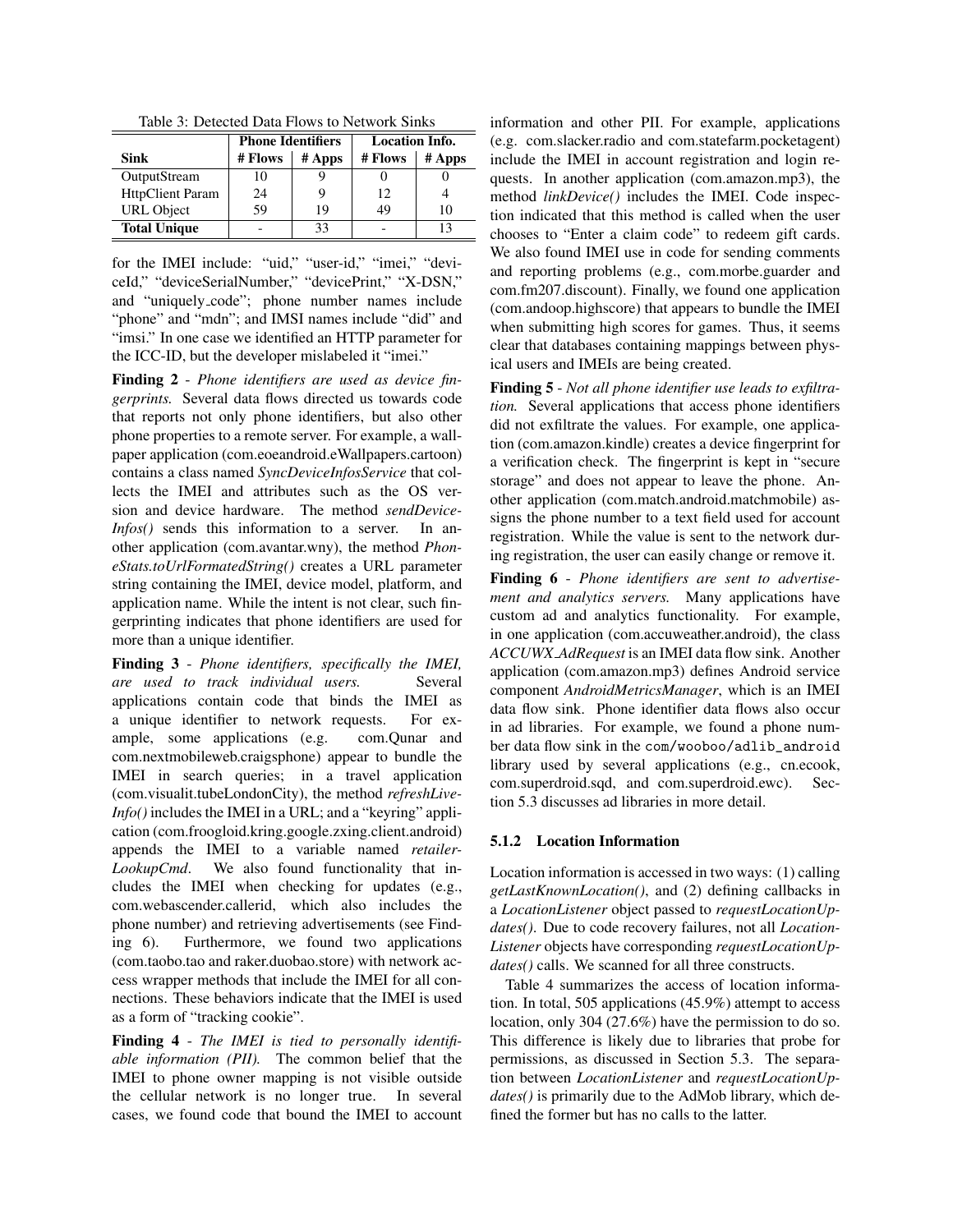| Table 3: Detected Data Flows to Network Sinks                                                                                                     |  |
|---------------------------------------------------------------------------------------------------------------------------------------------------|--|
|                                                                                                                                                   |  |
| $\mathbf{D}$ $\mathbf{L}$ and $\mathbf{L}$ $\mathbf{L}$ and $\mathbf{L}$ $\mathbf{L}$ and $\mathbf{L}$ $\mathbf{L}$ and $\mathbf{L}$ $\mathbf{L}$ |  |

|                         | <b>Phone Identifiers</b> |        | <b>Location Info.</b> |        |
|-------------------------|--------------------------|--------|-----------------------|--------|
| Sink                    | # Flows                  | # Apps | # Flows               | # Apps |
| OutputStream            | 10                       |        |                       |        |
| <b>HttpClient Param</b> | 24                       |        | 12                    |        |
| <b>URL</b> Object       | 59                       | 19     | 49                    | 10     |
| <b>Total Unique</b>     |                          | 33     |                       |        |

for the IMEI include: "uid," "user-id," "imei," "deviceId," "deviceSerialNumber," "devicePrint," "X-DSN," and "uniquely code"; phone number names include "phone" and "mdn"; and IMSI names include "did" and "imsi." In one case we identified an HTTP parameter for the ICC-ID, but the developer mislabeled it "imei."

Finding 2 - *Phone identifiers are used as device fingerprints.* Several data flows directed us towards code that reports not only phone identifiers, but also other phone properties to a remote server. For example, a wallpaper application (com.eoeandroid.eWallpapers.cartoon) contains a class named *SyncDeviceInfosService* that collects the IMEI and attributes such as the OS version and device hardware. The method *sendDevice-Infos()* sends this information to a server. In another application (com.avantar.wny), the method *PhoneStats.toUrlFormatedString()* creates a URL parameter string containing the IMEI, device model, platform, and application name. While the intent is not clear, such fingerprinting indicates that phone identifiers are used for more than a unique identifier.

Finding 3 - *Phone identifiers, specifically the IMEI, are used to track individual users.* Several applications contain code that binds the IMEI as a unique identifier to network requests. For example, some applications (e.g. com.Qunar and com.nextmobileweb.craigsphone) appear to bundle the IMEI in search queries; in a travel application (com.visualit.tubeLondonCity), the method *refreshLive-Info()* includes the IMEI in a URL; and a "keyring" application (com.froogloid.kring.google.zxing.client.android) appends the IMEI to a variable named *retailer-LookupCmd*. We also found functionality that includes the IMEI when checking for updates (e.g., com.webascender.callerid, which also includes the phone number) and retrieving advertisements (see Finding 6). Furthermore, we found two applications (com.taobo.tao and raker.duobao.store) with network access wrapper methods that include the IMEI for all connections. These behaviors indicate that the IMEI is used as a form of "tracking cookie".

Finding 4 - *The IMEI is tied to personally identifiable information (PII).* The common belief that the IMEI to phone owner mapping is not visible outside the cellular network is no longer true. In several cases, we found code that bound the IMEI to account information and other PII. For example, applications (e.g. com.slacker.radio and com.statefarm.pocketagent) include the IMEI in account registration and login requests. In another application (com.amazon.mp3), the method *linkDevice()* includes the IMEI. Code inspection indicated that this method is called when the user chooses to "Enter a claim code" to redeem gift cards. We also found IMEI use in code for sending comments and reporting problems (e.g., com.morbe.guarder and com.fm207.discount). Finally, we found one application (com.andoop.highscore) that appears to bundle the IMEI when submitting high scores for games. Thus, it seems clear that databases containing mappings between physical users and IMEIs are being created.

Finding 5 - *Not all phone identifier use leads to exfiltration.* Several applications that access phone identifiers did not exfiltrate the values. For example, one application (com.amazon.kindle) creates a device fingerprint for a verification check. The fingerprint is kept in "secure storage" and does not appear to leave the phone. Another application (com.match.android.matchmobile) assigns the phone number to a text field used for account registration. While the value is sent to the network during registration, the user can easily change or remove it.

Finding 6 - *Phone identifiers are sent to advertisement and analytics servers.* Many applications have custom ad and analytics functionality. For example, in one application (com.accuweather.android), the class *ACCUWX AdRequest* is an IMEI data flow sink. Another application (com.amazon.mp3) defines Android service component *AndroidMetricsManager*, which is an IMEI data flow sink. Phone identifier data flows also occur in ad libraries. For example, we found a phone number data flow sink in the com/wooboo/adlib\_android library used by several applications (e.g., cn.ecook, com.superdroid.sqd, and com.superdroid.ewc). Section 5.3 discusses ad libraries in more detail.

## 5.1.2 Location Information

Location information is accessed in two ways: (1) calling *getLastKnownLocation()*, and (2) defining callbacks in a *LocationListener* object passed to *requestLocationUpdates()*. Due to code recovery failures, not all *Location-Listener* objects have corresponding *requestLocationUpdates()* calls. We scanned for all three constructs.

Table 4 summarizes the access of location information. In total, 505 applications (45.9%) attempt to access location, only 304 (27.6%) have the permission to do so. This difference is likely due to libraries that probe for permissions, as discussed in Section 5.3. The separation between *LocationListener* and *requestLocationUpdates()* is primarily due to the AdMob library, which defined the former but has no calls to the latter.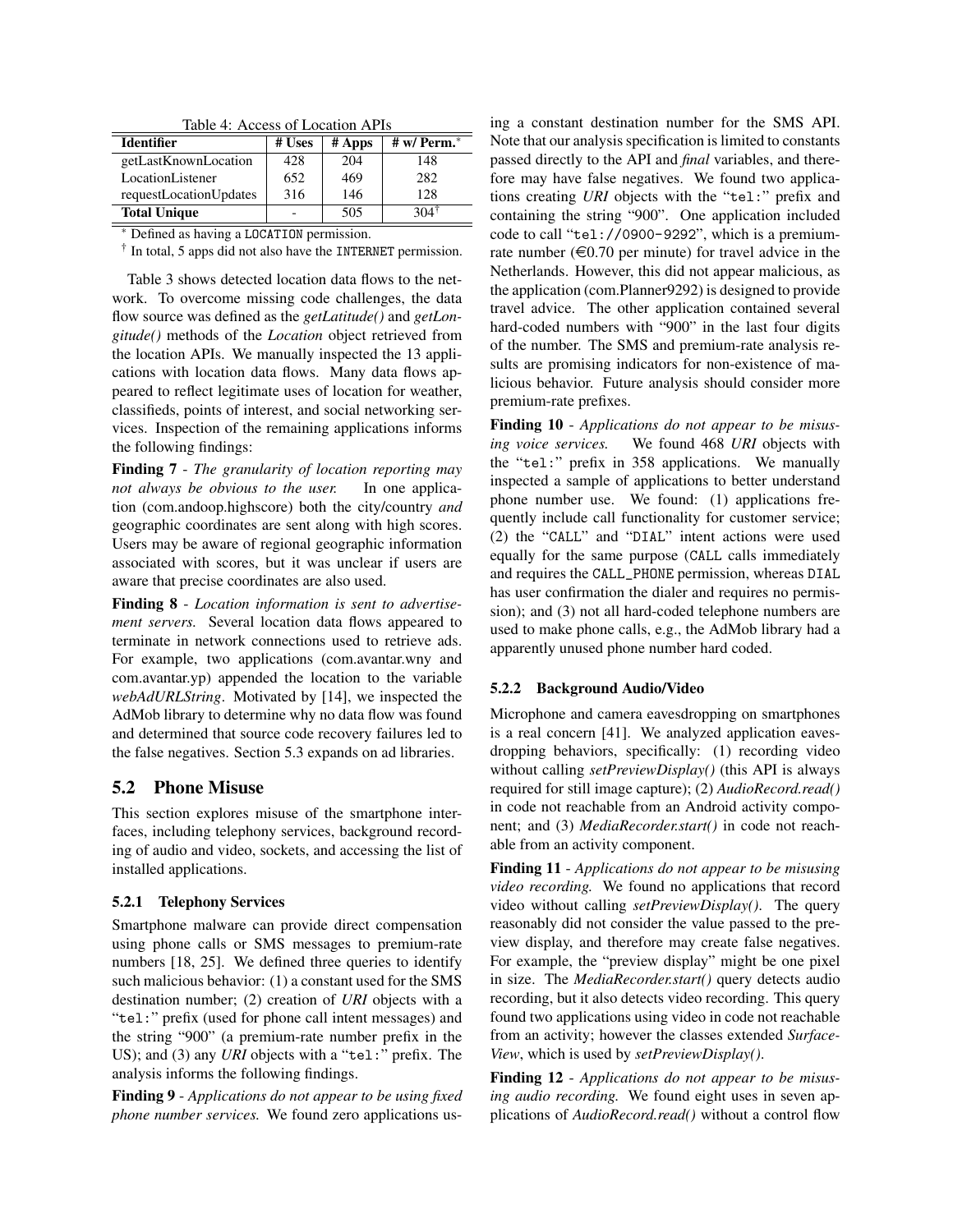| Table 4: Access of Location APIs |        |        |                  |  |  |
|----------------------------------|--------|--------|------------------|--|--|
| <b>Identifier</b>                | # Uses | # Apps | # $w/$ Perm. $*$ |  |  |
| getLastKnownLocation             | 428    | 204    | 148              |  |  |
| LocationListener                 | 652    | 469    | 282              |  |  |
| requestLocationUpdates           | 316    | 146    | 128              |  |  |
| <b>Total Unique</b>              |        | 505    | 1041             |  |  |

∗ Defined as having a LOCATION permission.

 $\dagger$  In total, 5 apps did not also have the INTERNET permission.

Table 3 shows detected location data flows to the network. To overcome missing code challenges, the data flow source was defined as the *getLatitude()* and *getLongitude()* methods of the *Location* object retrieved from the location APIs. We manually inspected the 13 applications with location data flows. Many data flows appeared to reflect legitimate uses of location for weather, classifieds, points of interest, and social networking services. Inspection of the remaining applications informs the following findings:

Finding 7 - *The granularity of location reporting may not always be obvious to the user.* In one application (com.andoop.highscore) both the city/country *and* geographic coordinates are sent along with high scores. Users may be aware of regional geographic information associated with scores, but it was unclear if users are aware that precise coordinates are also used.

Finding 8 - *Location information is sent to advertisement servers.* Several location data flows appeared to terminate in network connections used to retrieve ads. For example, two applications (com.avantar.wny and com.avantar.yp) appended the location to the variable *webAdURLString*. Motivated by [14], we inspected the AdMob library to determine why no data flow was found and determined that source code recovery failures led to the false negatives. Section 5.3 expands on ad libraries.

## 5.2 Phone Misuse

This section explores misuse of the smartphone interfaces, including telephony services, background recording of audio and video, sockets, and accessing the list of installed applications.

#### 5.2.1 Telephony Services

Smartphone malware can provide direct compensation using phone calls or SMS messages to premium-rate numbers [18, 25]. We defined three queries to identify such malicious behavior: (1) a constant used for the SMS destination number; (2) creation of *URI* objects with a "tel:" prefix (used for phone call intent messages) and the string "900" (a premium-rate number prefix in the US); and (3) any *URI* objects with a "tel:" prefix. The analysis informs the following findings.

Finding 9 - *Applications do not appear to be using fixed phone number services.* We found zero applications using a constant destination number for the SMS API. Note that our analysis specification is limited to constants passed directly to the API and *final* variables, and therefore may have false negatives. We found two applications creating *URI* objects with the "tel:" prefix and containing the string "900". One application included code to call "tel://0900-9292", which is a premiumrate number ( $\epsilon$ 0.70 per minute) for travel advice in the Netherlands. However, this did not appear malicious, as the application (com.Planner9292) is designed to provide travel advice. The other application contained several hard-coded numbers with "900" in the last four digits of the number. The SMS and premium-rate analysis results are promising indicators for non-existence of malicious behavior. Future analysis should consider more premium-rate prefixes.

Finding 10 - *Applications do not appear to be misusing voice services.* We found 468 *URI* objects with the "tel:" prefix in 358 applications. We manually inspected a sample of applications to better understand phone number use. We found: (1) applications frequently include call functionality for customer service; (2) the "CALL" and "DIAL" intent actions were used equally for the same purpose (CALL calls immediately and requires the CALL\_PHONE permission, whereas DIAL has user confirmation the dialer and requires no permission); and (3) not all hard-coded telephone numbers are used to make phone calls, e.g., the AdMob library had a apparently unused phone number hard coded.

#### 5.2.2 Background Audio/Video

Microphone and camera eavesdropping on smartphones is a real concern [41]. We analyzed application eavesdropping behaviors, specifically: (1) recording video without calling *setPreviewDisplay()* (this API is always required for still image capture); (2) *AudioRecord.read()* in code not reachable from an Android activity component; and (3) *MediaRecorder.start()* in code not reachable from an activity component.

Finding 11 - *Applications do not appear to be misusing video recording.* We found no applications that record video without calling *setPreviewDisplay()*. The query reasonably did not consider the value passed to the preview display, and therefore may create false negatives. For example, the "preview display" might be one pixel in size. The *MediaRecorder.start()* query detects audio recording, but it also detects video recording. This query found two applications using video in code not reachable from an activity; however the classes extended *Surface-View*, which is used by *setPreviewDisplay()*.

Finding 12 - *Applications do not appear to be misusing audio recording.* We found eight uses in seven applications of *AudioRecord.read()* without a control flow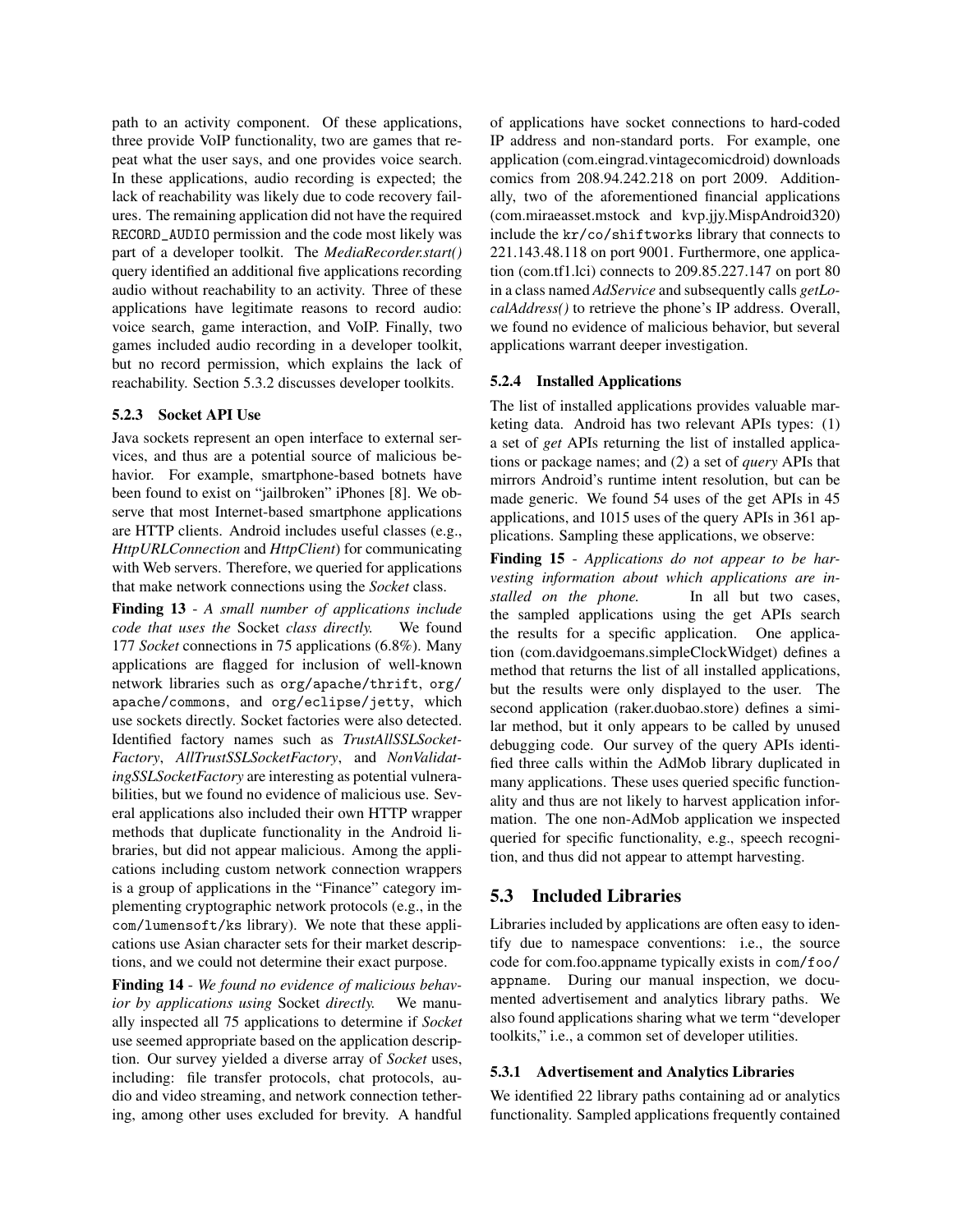path to an activity component. Of these applications, three provide VoIP functionality, two are games that repeat what the user says, and one provides voice search. In these applications, audio recording is expected; the lack of reachability was likely due to code recovery failures. The remaining application did not have the required RECORD\_AUDIO permission and the code most likely was part of a developer toolkit. The *MediaRecorder.start()* query identified an additional five applications recording audio without reachability to an activity. Three of these applications have legitimate reasons to record audio: voice search, game interaction, and VoIP. Finally, two games included audio recording in a developer toolkit, but no record permission, which explains the lack of reachability. Section 5.3.2 discusses developer toolkits.

#### 5.2.3 Socket API Use

Java sockets represent an open interface to external services, and thus are a potential source of malicious behavior. For example, smartphone-based botnets have been found to exist on "jailbroken" iPhones [8]. We observe that most Internet-based smartphone applications are HTTP clients. Android includes useful classes (e.g., *HttpURLConnection* and *HttpClient*) for communicating with Web servers. Therefore, we queried for applications that make network connections using the *Socket* class.

Finding 13 - *A small number of applications include code that uses the* Socket *class directly.* We found 177 *Socket* connections in 75 applications (6.8%). Many applications are flagged for inclusion of well-known network libraries such as org/apache/thrift, org/ apache/commons, and org/eclipse/jetty, which use sockets directly. Socket factories were also detected. Identified factory names such as *TrustAllSSLSocket-Factory*, *AllTrustSSLSocketFactory*, and *NonValidatingSSLSocketFactory* are interesting as potential vulnerabilities, but we found no evidence of malicious use. Several applications also included their own HTTP wrapper methods that duplicate functionality in the Android libraries, but did not appear malicious. Among the applications including custom network connection wrappers is a group of applications in the "Finance" category implementing cryptographic network protocols (e.g., in the com/lumensoft/ks library). We note that these applications use Asian character sets for their market descriptions, and we could not determine their exact purpose.

Finding 14 - *We found no evidence of malicious behavior by applications using* Socket *directly.* We manually inspected all 75 applications to determine if *Socket* use seemed appropriate based on the application description. Our survey yielded a diverse array of *Socket* uses, including: file transfer protocols, chat protocols, audio and video streaming, and network connection tethering, among other uses excluded for brevity. A handful of applications have socket connections to hard-coded IP address and non-standard ports. For example, one application (com.eingrad.vintagecomicdroid) downloads comics from 208.94.242.218 on port 2009. Additionally, two of the aforementioned financial applications (com.miraeasset.mstock and kvp.jjy.MispAndroid320) include the kr/co/shiftworks library that connects to 221.143.48.118 on port 9001. Furthermore, one application (com.tf1.lci) connects to 209.85.227.147 on port 80 in a class named *AdService* and subsequently calls *getLocalAddress()* to retrieve the phone's IP address. Overall, we found no evidence of malicious behavior, but several applications warrant deeper investigation.

#### 5.2.4 Installed Applications

The list of installed applications provides valuable marketing data. Android has two relevant APIs types: (1) a set of *get* APIs returning the list of installed applications or package names; and (2) a set of *query* APIs that mirrors Android's runtime intent resolution, but can be made generic. We found 54 uses of the get APIs in 45 applications, and 1015 uses of the query APIs in 361 applications. Sampling these applications, we observe:

Finding 15 - *Applications do not appear to be harvesting information about which applications are installed on the phone.* In all but two cases, the sampled applications using the get APIs search the results for a specific application. One application (com.davidgoemans.simpleClockWidget) defines a method that returns the list of all installed applications, but the results were only displayed to the user. The second application (raker.duobao.store) defines a similar method, but it only appears to be called by unused debugging code. Our survey of the query APIs identified three calls within the AdMob library duplicated in many applications. These uses queried specific functionality and thus are not likely to harvest application information. The one non-AdMob application we inspected queried for specific functionality, e.g., speech recognition, and thus did not appear to attempt harvesting.

## 5.3 Included Libraries

Libraries included by applications are often easy to identify due to namespace conventions: i.e., the source code for com.foo.appname typically exists in com/foo/ appname. During our manual inspection, we documented advertisement and analytics library paths. We also found applications sharing what we term "developer toolkits," i.e., a common set of developer utilities.

#### 5.3.1 Advertisement and Analytics Libraries

We identified 22 library paths containing ad or analytics functionality. Sampled applications frequently contained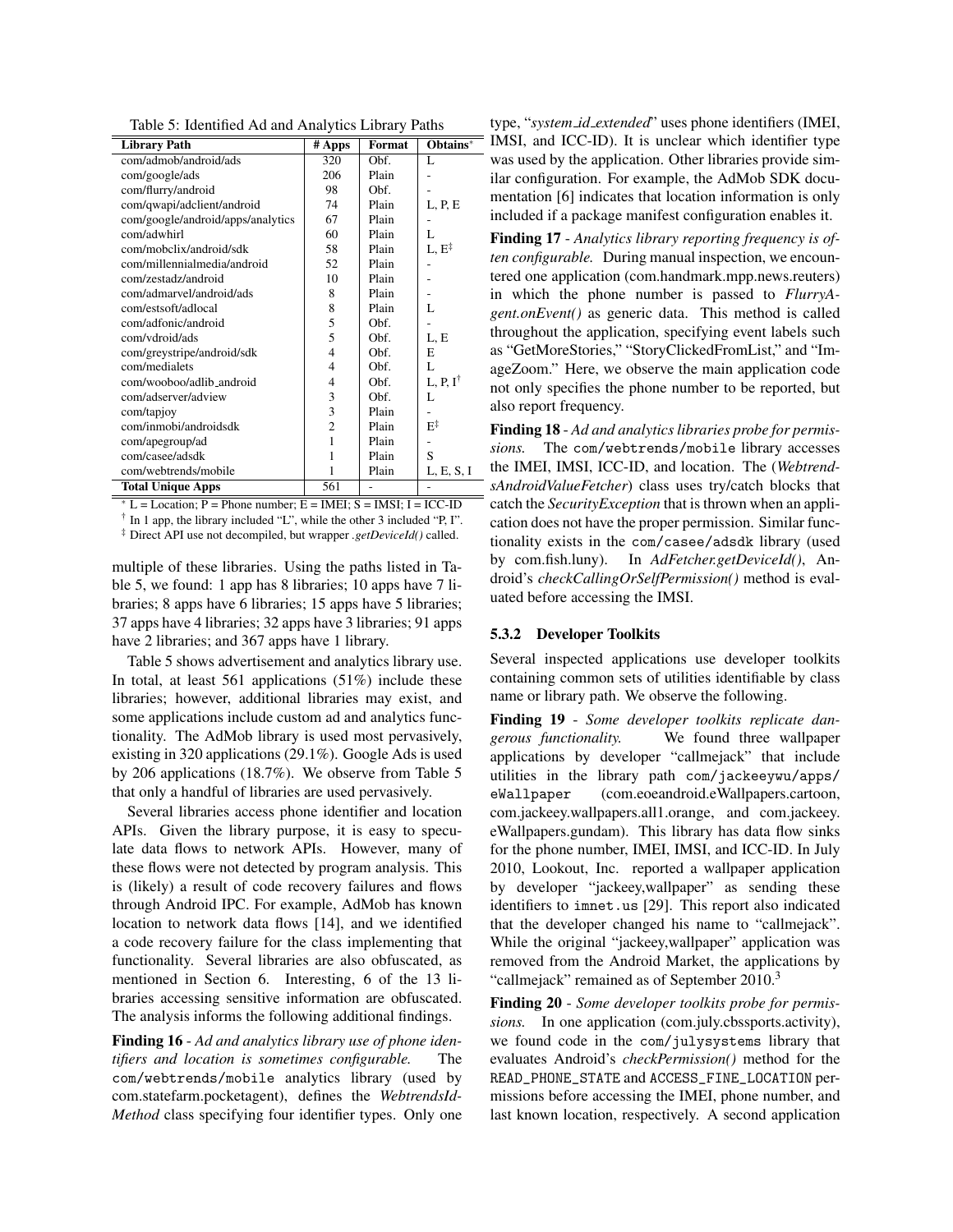|  |  | Table 5: Identified Ad and Analytics Library Paths |
|--|--|----------------------------------------------------|
|  |  |                                                    |

| <b>Library Path</b>               | # Apps         | Format | Obtains*            |
|-----------------------------------|----------------|--------|---------------------|
| com/admob/android/ads             | 320            | Obf.   | L                   |
| com/google/ads                    | 206            | Plain  |                     |
| com/flurry/android                | 98             | Obf.   |                     |
| com/qwapi/adclient/android        | 74             | Plain  | L, P, E             |
| com/google/android/apps/analytics | 67             | Plain  |                     |
| com/adwhirl                       | 60             | Plain  | L                   |
| com/mobclix/android/sdk           | 58             | Plain  | $L, E^{\ddagger}$   |
| com/millennialmedia/android       | 52             | Plain  |                     |
| com/zestadz/android               | 10             | Plain  |                     |
| com/admarvel/android/ads          | 8              | Plain  |                     |
| com/estsoft/adlocal               | 8              | Plain  | L                   |
| com/adfonic/android               | 5              | Obf.   |                     |
| com/vdroid/ads                    | 5              | Obf.   | L, E                |
| com/greystripe/android/sdk        | 4              | Obf.   | E                   |
| com/medialets                     | 4              | Obf.   | L                   |
| com/wooboo/adlib_android          | 4              | Obf.   | L, P, $I^{\dagger}$ |
| com/adserver/adview               | 3              | Obf.   | L                   |
| com/tapjoy                        | 3              | Plain  |                     |
| com/inmobi/androidsdk             | $\overline{c}$ | Plain  | $E^{\ddagger}$      |
| com/apegroup/ad                   | 1              | Plain  |                     |
| com/casee/adsdk                   | 1              | Plain  | S                   |
| com/webtrends/mobile              | 1              | Plain  | L, E, S, I          |
| <b>Total Unique Apps</b>          | 561            |        |                     |

 $* L =$ Location; P = Phone number; E = IMEI; S = IMSI; I = ICC-ID

† In 1 app, the library included "L", while the other 3 included "P, I".

‡ Direct API use not decompiled, but wrapper *.getDeviceId()* called.

multiple of these libraries. Using the paths listed in Table 5, we found: 1 app has 8 libraries; 10 apps have 7 libraries; 8 apps have 6 libraries; 15 apps have 5 libraries; 37 apps have 4 libraries; 32 apps have 3 libraries; 91 apps have 2 libraries; and 367 apps have 1 library.

Table 5 shows advertisement and analytics library use. In total, at least  $561$  applications  $(51\%)$  include these libraries; however, additional libraries may exist, and some applications include custom ad and analytics functionality. The AdMob library is used most pervasively, existing in 320 applications (29.1%). Google Ads is used by 206 applications (18.7%). We observe from Table 5 that only a handful of libraries are used pervasively.

Several libraries access phone identifier and location APIs. Given the library purpose, it is easy to speculate data flows to network APIs. However, many of these flows were not detected by program analysis. This is (likely) a result of code recovery failures and flows through Android IPC. For example, AdMob has known location to network data flows [14], and we identified a code recovery failure for the class implementing that functionality. Several libraries are also obfuscated, as mentioned in Section 6. Interesting, 6 of the 13 libraries accessing sensitive information are obfuscated. The analysis informs the following additional findings.

Finding 16 - *Ad and analytics library use of phone identifiers and location is sometimes configurable.* The com/webtrends/mobile analytics library (used by com.statefarm.pocketagent), defines the *WebtrendsId-Method* class specifying four identifier types. Only one

type, "*system id extended*" uses phone identifiers (IMEI, IMSI, and ICC-ID). It is unclear which identifier type was used by the application. Other libraries provide similar configuration. For example, the AdMob SDK documentation [6] indicates that location information is only included if a package manifest configuration enables it.

Finding 17 - *Analytics library reporting frequency is often configurable.* During manual inspection, we encountered one application (com.handmark.mpp.news.reuters) in which the phone number is passed to *FlurryAgent.onEvent()* as generic data. This method is called throughout the application, specifying event labels such as "GetMoreStories," "StoryClickedFromList," and "ImageZoom." Here, we observe the main application code not only specifies the phone number to be reported, but also report frequency.

Finding 18 - *Ad and analytics libraries probe for permissions.* The com/webtrends/mobile library accesses the IMEI, IMSI, ICC-ID, and location. The (*WebtrendsAndroidValueFetcher*) class uses try/catch blocks that catch the *SecurityException* that is thrown when an application does not have the proper permission. Similar functionality exists in the com/casee/adsdk library (used by com.fish.luny). In *AdFetcher.getDeviceId()*, Android's *checkCallingOrSelfPermission()* method is evaluated before accessing the IMSI.

#### 5.3.2 Developer Toolkits

Several inspected applications use developer toolkits containing common sets of utilities identifiable by class name or library path. We observe the following.

Finding 19 - *Some developer toolkits replicate dangerous functionality.* We found three wallpaper applications by developer "callmejack" that include utilities in the library path com/jackeeywu/apps/ eWallpaper (com.eoeandroid.eWallpapers.cartoon, com.jackeey.wallpapers.all1.orange, and com.jackeey. eWallpapers.gundam). This library has data flow sinks for the phone number, IMEI, IMSI, and ICC-ID. In July 2010, Lookout, Inc. reported a wallpaper application by developer "jackeey,wallpaper" as sending these identifiers to imnet.us [29]. This report also indicated that the developer changed his name to "callmejack". While the original "jackeey,wallpaper" application was removed from the Android Market, the applications by "callmejack" remained as of September 2010.<sup>3</sup>

Finding 20 - *Some developer toolkits probe for permissions.* In one application (com.july.cbssports.activity), we found code in the com/julysystems library that evaluates Android's *checkPermission()* method for the READ\_PHONE\_STATE and ACCESS\_FINE\_LOCATION permissions before accessing the IMEI, phone number, and last known location, respectively. A second application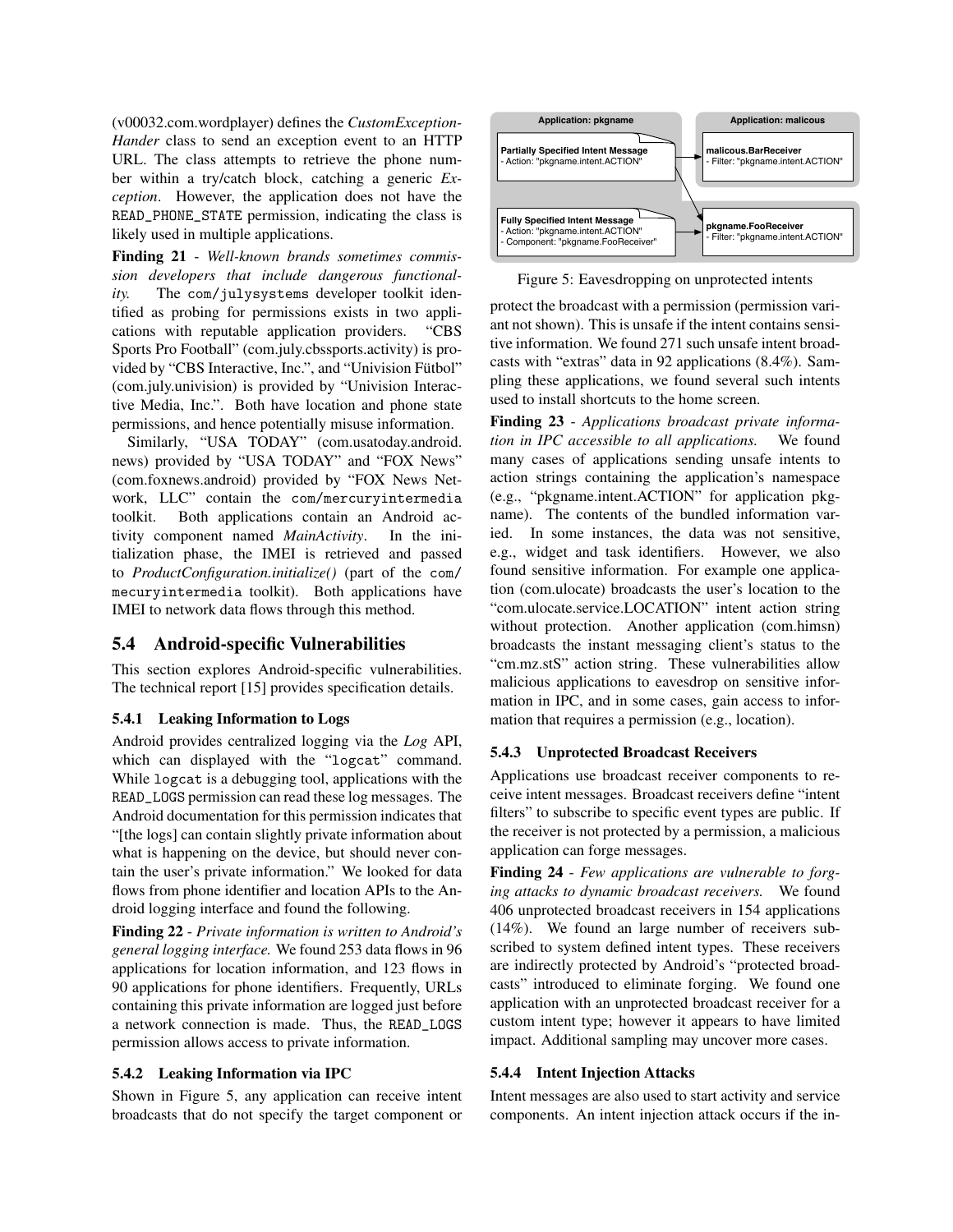(v00032.com.wordplayer) defines the *CustomException-Hander* class to send an exception event to an HTTP URL. The class attempts to retrieve the phone number within a try/catch block, catching a generic *Exception*. However, the application does not have the READ\_PHONE\_STATE permission, indicating the class is likely used in multiple applications.

Finding 21 - *Well-known brands sometimes commission developers that include dangerous functionality.* The com/julysystems developer toolkit identified as probing for permissions exists in two applications with reputable application providers. "CBS Sports Pro Football" (com.july.cbssports.activity) is provided by "CBS Interactive, Inc.", and "Univision Fütbol" (com.july.univision) is provided by "Univision Interactive Media, Inc.". Both have location and phone state permissions, and hence potentially misuse information.

Similarly, "USA TODAY" (com.usatoday.android. news) provided by "USA TODAY" and "FOX News" (com.foxnews.android) provided by "FOX News Network, LLC" contain the com/mercuryintermedia toolkit. Both applications contain an Android activity component named *MainActivity*. In the initialization phase, the IMEI is retrieved and passed to *ProductConfiguration.initialize()* (part of the com/ mecuryintermedia toolkit). Both applications have IMEI to network data flows through this method.

### 5.4 Android-specific Vulnerabilities

This section explores Android-specific vulnerabilities. The technical report [15] provides specification details.

### 5.4.1 Leaking Information to Logs

Android provides centralized logging via the *Log* API, which can displayed with the "logcat" command. While logcat is a debugging tool, applications with the READ\_LOGS permission can read these log messages. The Android documentation for this permission indicates that "[the logs] can contain slightly private information about what is happening on the device, but should never contain the user's private information." We looked for data flows from phone identifier and location APIs to the Android logging interface and found the following.

Finding 22 - *Private information is written to Android's general logging interface.* We found 253 data flows in 96 applications for location information, and 123 flows in 90 applications for phone identifiers. Frequently, URLs containing this private information are logged just before a network connection is made. Thus, the READ\_LOGS permission allows access to private information.

#### 5.4.2 Leaking Information via IPC

Shown in Figure 5, any application can receive intent broadcasts that do not specify the target component or



Figure 5: Eavesdropping on unprotected intents

protect the broadcast with a permission (permission variant not shown). This is unsafe if the intent contains sensitive information. We found 271 such unsafe intent broadcasts with "extras" data in 92 applications (8.4%). Sampling these applications, we found several such intents used to install shortcuts to the home screen.

Finding 23 - *Applications broadcast private information in IPC accessible to all applications.* We found many cases of applications sending unsafe intents to action strings containing the application's namespace (e.g., "pkgname.intent.ACTION" for application pkgname). The contents of the bundled information varied. In some instances, the data was not sensitive, e.g., widget and task identifiers. However, we also found sensitive information. For example one application (com.ulocate) broadcasts the user's location to the "com.ulocate.service.LOCATION" intent action string without protection. Another application (com.himsn) broadcasts the instant messaging client's status to the "cm.mz.stS" action string. These vulnerabilities allow malicious applications to eavesdrop on sensitive information in IPC, and in some cases, gain access to information that requires a permission (e.g., location).

#### 5.4.3 Unprotected Broadcast Receivers

Applications use broadcast receiver components to receive intent messages. Broadcast receivers define "intent filters" to subscribe to specific event types are public. If the receiver is not protected by a permission, a malicious application can forge messages.

Finding 24 - *Few applications are vulnerable to forging attacks to dynamic broadcast receivers.* We found 406 unprotected broadcast receivers in 154 applications (14%). We found an large number of receivers subscribed to system defined intent types. These receivers are indirectly protected by Android's "protected broadcasts" introduced to eliminate forging. We found one application with an unprotected broadcast receiver for a custom intent type; however it appears to have limited impact. Additional sampling may uncover more cases.

#### 5.4.4 Intent Injection Attacks

Intent messages are also used to start activity and service components. An intent injection attack occurs if the in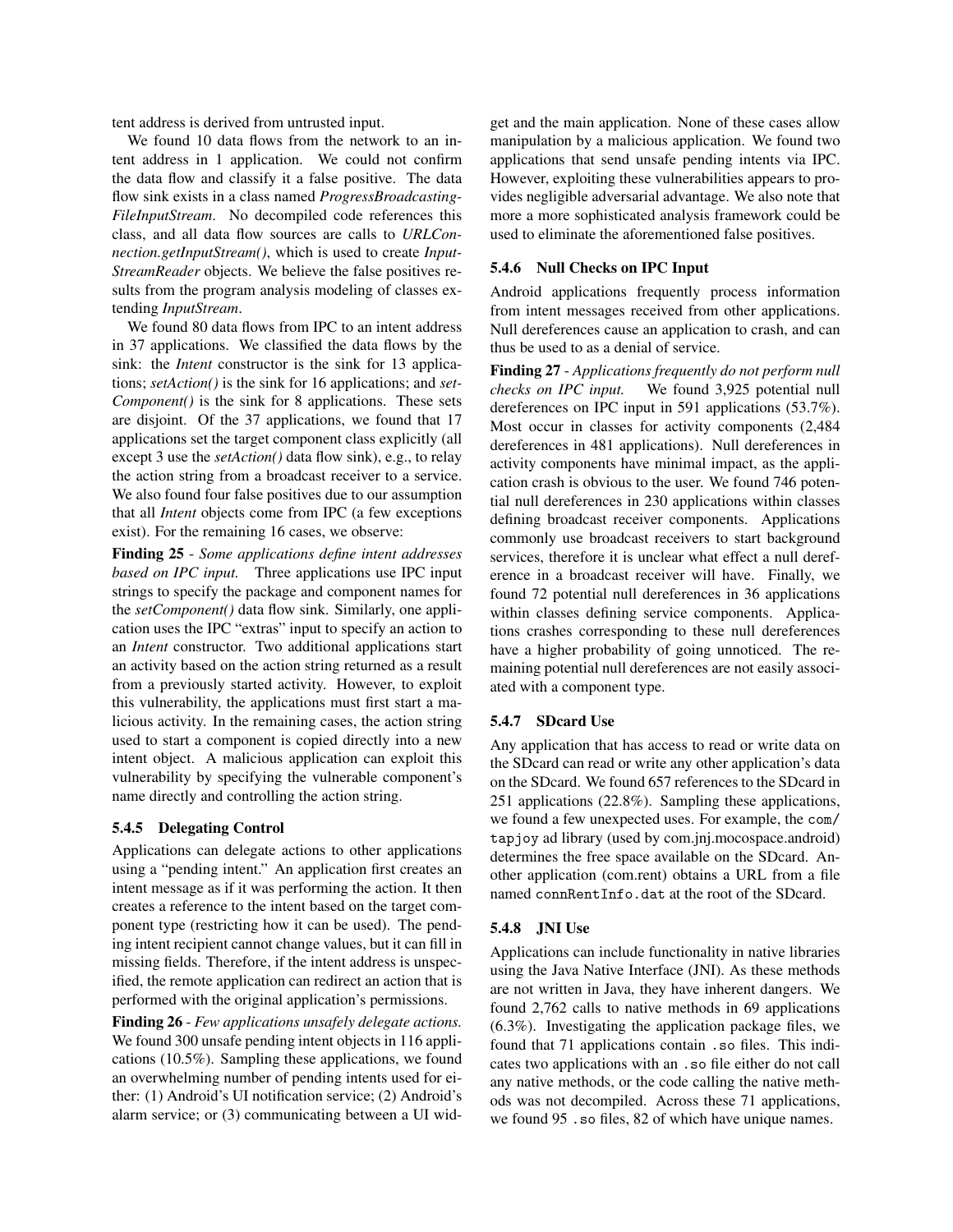tent address is derived from untrusted input.

We found 10 data flows from the network to an intent address in 1 application. We could not confirm the data flow and classify it a false positive. The data flow sink exists in a class named *ProgressBroadcasting-FileInputStream*. No decompiled code references this class, and all data flow sources are calls to *URLConnection.getInputStream()*, which is used to create *Input-StreamReader* objects. We believe the false positives results from the program analysis modeling of classes extending *InputStream*.

We found 80 data flows from IPC to an intent address in 37 applications. We classified the data flows by the sink: the *Intent* constructor is the sink for 13 applications; *setAction()* is the sink for 16 applications; and *set-Component()* is the sink for 8 applications. These sets are disjoint. Of the 37 applications, we found that 17 applications set the target component class explicitly (all except 3 use the *setAction()* data flow sink), e.g., to relay the action string from a broadcast receiver to a service. We also found four false positives due to our assumption that all *Intent* objects come from IPC (a few exceptions exist). For the remaining 16 cases, we observe:

Finding 25 - *Some applications define intent addresses based on IPC input.* Three applications use IPC input strings to specify the package and component names for the *setComponent()* data flow sink. Similarly, one application uses the IPC "extras" input to specify an action to an *Intent* constructor. Two additional applications start an activity based on the action string returned as a result from a previously started activity. However, to exploit this vulnerability, the applications must first start a malicious activity. In the remaining cases, the action string used to start a component is copied directly into a new intent object. A malicious application can exploit this vulnerability by specifying the vulnerable component's name directly and controlling the action string.

### 5.4.5 Delegating Control

Applications can delegate actions to other applications using a "pending intent." An application first creates an intent message as if it was performing the action. It then creates a reference to the intent based on the target component type (restricting how it can be used). The pending intent recipient cannot change values, but it can fill in missing fields. Therefore, if the intent address is unspecified, the remote application can redirect an action that is performed with the original application's permissions.

Finding 26 - *Few applications unsafely delegate actions.* We found 300 unsafe pending intent objects in 116 applications (10.5%). Sampling these applications, we found an overwhelming number of pending intents used for either: (1) Android's UI notification service; (2) Android's alarm service; or (3) communicating between a UI widget and the main application. None of these cases allow manipulation by a malicious application. We found two applications that send unsafe pending intents via IPC. However, exploiting these vulnerabilities appears to provides negligible adversarial advantage. We also note that more a more sophisticated analysis framework could be used to eliminate the aforementioned false positives.

#### 5.4.6 Null Checks on IPC Input

Android applications frequently process information from intent messages received from other applications. Null dereferences cause an application to crash, and can thus be used to as a denial of service.

Finding 27 - *Applications frequently do not perform null checks on IPC input.* We found 3,925 potential null dereferences on IPC input in 591 applications (53.7%). Most occur in classes for activity components (2,484 dereferences in 481 applications). Null dereferences in activity components have minimal impact, as the application crash is obvious to the user. We found 746 potential null dereferences in 230 applications within classes defining broadcast receiver components. Applications commonly use broadcast receivers to start background services, therefore it is unclear what effect a null dereference in a broadcast receiver will have. Finally, we found 72 potential null dereferences in 36 applications within classes defining service components. Applications crashes corresponding to these null dereferences have a higher probability of going unnoticed. The remaining potential null dereferences are not easily associated with a component type.

#### 5.4.7 SDcard Use

Any application that has access to read or write data on the SDcard can read or write any other application's data on the SDcard. We found 657 references to the SDcard in 251 applications (22.8%). Sampling these applications, we found a few unexpected uses. For example, the com/ tapjoy ad library (used by com.jnj.mocospace.android) determines the free space available on the SDcard. Another application (com.rent) obtains a URL from a file named connRentInfo.dat at the root of the SDcard.

#### 5.4.8 JNI Use

Applications can include functionality in native libraries using the Java Native Interface (JNI). As these methods are not written in Java, they have inherent dangers. We found 2,762 calls to native methods in 69 applications (6.3%). Investigating the application package files, we found that 71 applications contain .so files. This indicates two applications with an .so file either do not call any native methods, or the code calling the native methods was not decompiled. Across these 71 applications, we found 95 .so files, 82 of which have unique names.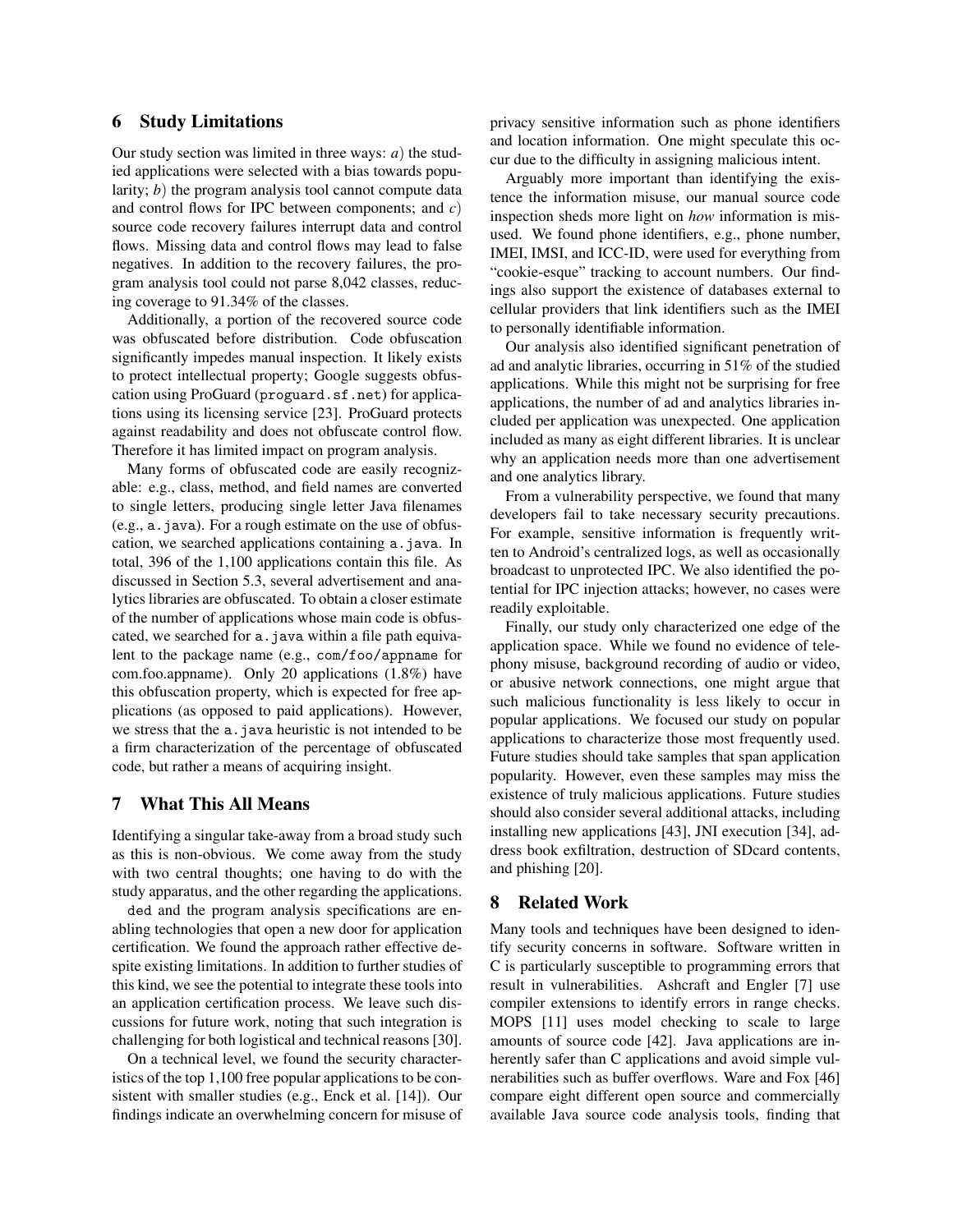### 6 Study Limitations

Our study section was limited in three ways: *a*) the studied applications were selected with a bias towards popularity; *b*) the program analysis tool cannot compute data and control flows for IPC between components; and *c*) source code recovery failures interrupt data and control flows. Missing data and control flows may lead to false negatives. In addition to the recovery failures, the program analysis tool could not parse 8,042 classes, reducing coverage to 91.34% of the classes.

Additionally, a portion of the recovered source code was obfuscated before distribution. Code obfuscation significantly impedes manual inspection. It likely exists to protect intellectual property; Google suggests obfuscation using ProGuard (proguard.sf.net) for applications using its licensing service [23]. ProGuard protects against readability and does not obfuscate control flow. Therefore it has limited impact on program analysis.

Many forms of obfuscated code are easily recognizable: e.g., class, method, and field names are converted to single letters, producing single letter Java filenames  $(e.g., a.java)$ . For a rough estimate on the use of obfuscation, we searched applications containing a.java. In total, 396 of the 1,100 applications contain this file. As discussed in Section 5.3, several advertisement and analytics libraries are obfuscated. To obtain a closer estimate of the number of applications whose main code is obfuscated, we searched for a. java within a file path equivalent to the package name (e.g., com/foo/appname for com.foo.appname). Only 20 applications (1.8%) have this obfuscation property, which is expected for free applications (as opposed to paid applications). However, we stress that the a.java heuristic is not intended to be a firm characterization of the percentage of obfuscated code, but rather a means of acquiring insight.

### 7 What This All Means

Identifying a singular take-away from a broad study such as this is non-obvious. We come away from the study with two central thoughts; one having to do with the study apparatus, and the other regarding the applications.

ded and the program analysis specifications are enabling technologies that open a new door for application certification. We found the approach rather effective despite existing limitations. In addition to further studies of this kind, we see the potential to integrate these tools into an application certification process. We leave such discussions for future work, noting that such integration is challenging for both logistical and technical reasons [30].

On a technical level, we found the security characteristics of the top 1,100 free popular applications to be consistent with smaller studies (e.g., Enck et al. [14]). Our findings indicate an overwhelming concern for misuse of privacy sensitive information such as phone identifiers and location information. One might speculate this occur due to the difficulty in assigning malicious intent.

Arguably more important than identifying the existence the information misuse, our manual source code inspection sheds more light on *how* information is misused. We found phone identifiers, e.g., phone number, IMEI, IMSI, and ICC-ID, were used for everything from "cookie-esque" tracking to account numbers. Our findings also support the existence of databases external to cellular providers that link identifiers such as the IMEI to personally identifiable information.

Our analysis also identified significant penetration of ad and analytic libraries, occurring in 51% of the studied applications. While this might not be surprising for free applications, the number of ad and analytics libraries included per application was unexpected. One application included as many as eight different libraries. It is unclear why an application needs more than one advertisement and one analytics library.

From a vulnerability perspective, we found that many developers fail to take necessary security precautions. For example, sensitive information is frequently written to Android's centralized logs, as well as occasionally broadcast to unprotected IPC. We also identified the potential for IPC injection attacks; however, no cases were readily exploitable.

Finally, our study only characterized one edge of the application space. While we found no evidence of telephony misuse, background recording of audio or video, or abusive network connections, one might argue that such malicious functionality is less likely to occur in popular applications. We focused our study on popular applications to characterize those most frequently used. Future studies should take samples that span application popularity. However, even these samples may miss the existence of truly malicious applications. Future studies should also consider several additional attacks, including installing new applications [43], JNI execution [34], address book exfiltration, destruction of SDcard contents, and phishing [20].

### 8 Related Work

Many tools and techniques have been designed to identify security concerns in software. Software written in C is particularly susceptible to programming errors that result in vulnerabilities. Ashcraft and Engler [7] use compiler extensions to identify errors in range checks. MOPS [11] uses model checking to scale to large amounts of source code [42]. Java applications are inherently safer than C applications and avoid simple vulnerabilities such as buffer overflows. Ware and Fox [46] compare eight different open source and commercially available Java source code analysis tools, finding that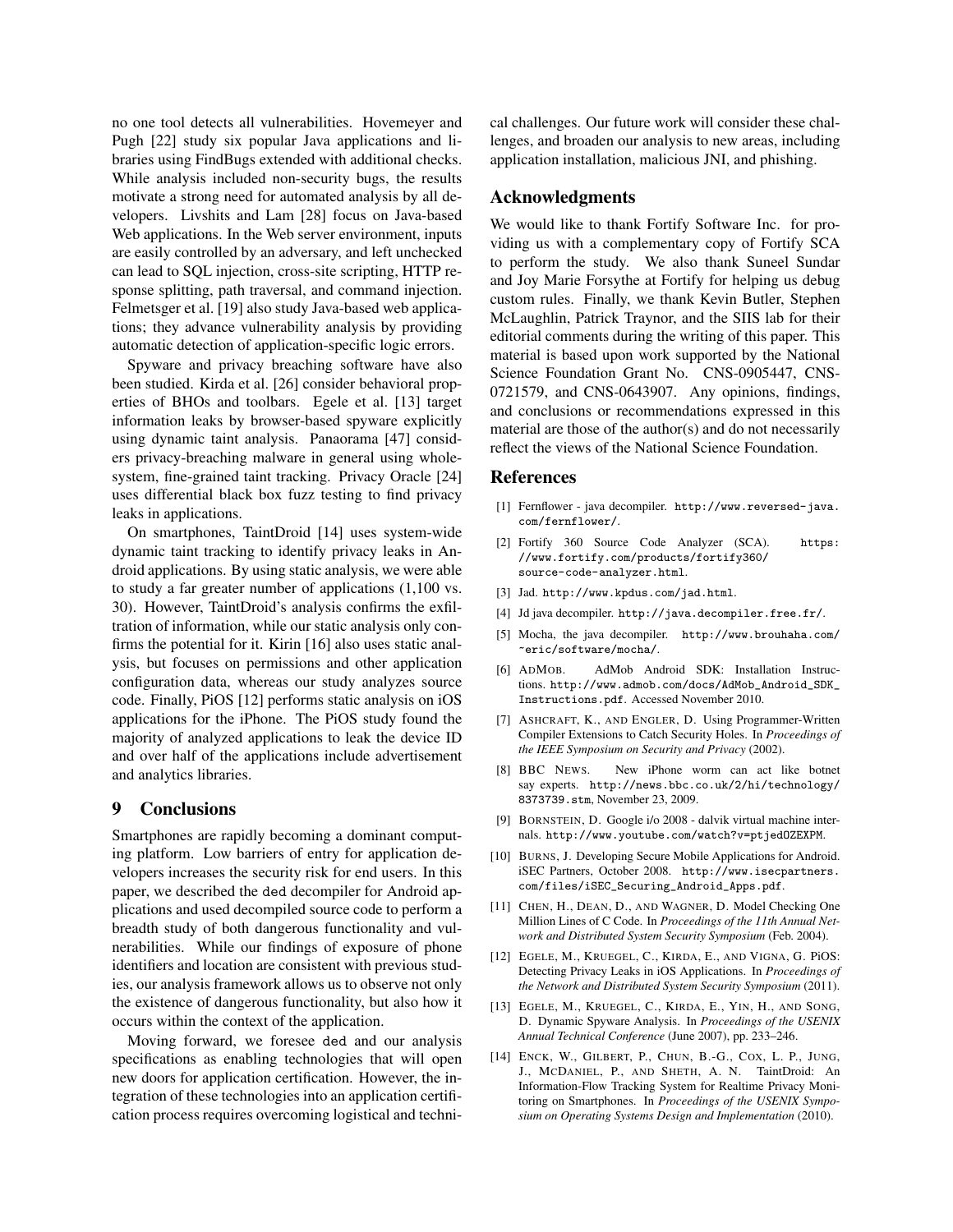no one tool detects all vulnerabilities. Hovemeyer and Pugh [22] study six popular Java applications and libraries using FindBugs extended with additional checks. While analysis included non-security bugs, the results motivate a strong need for automated analysis by all developers. Livshits and Lam [28] focus on Java-based Web applications. In the Web server environment, inputs are easily controlled by an adversary, and left unchecked can lead to SQL injection, cross-site scripting, HTTP response splitting, path traversal, and command injection. Felmetsger et al. [19] also study Java-based web applications; they advance vulnerability analysis by providing automatic detection of application-specific logic errors.

Spyware and privacy breaching software have also been studied. Kirda et al. [26] consider behavioral properties of BHOs and toolbars. Egele et al. [13] target information leaks by browser-based spyware explicitly using dynamic taint analysis. Panaorama [47] considers privacy-breaching malware in general using wholesystem, fine-grained taint tracking. Privacy Oracle [24] uses differential black box fuzz testing to find privacy leaks in applications.

On smartphones, TaintDroid [14] uses system-wide dynamic taint tracking to identify privacy leaks in Android applications. By using static analysis, we were able to study a far greater number of applications (1,100 vs. 30). However, TaintDroid's analysis confirms the exfiltration of information, while our static analysis only confirms the potential for it. Kirin [16] also uses static analysis, but focuses on permissions and other application configuration data, whereas our study analyzes source code. Finally, PiOS [12] performs static analysis on iOS applications for the iPhone. The PiOS study found the majority of analyzed applications to leak the device ID and over half of the applications include advertisement and analytics libraries.

#### 9 Conclusions

Smartphones are rapidly becoming a dominant computing platform. Low barriers of entry for application developers increases the security risk for end users. In this paper, we described the ded decompiler for Android applications and used decompiled source code to perform a breadth study of both dangerous functionality and vulnerabilities. While our findings of exposure of phone identifiers and location are consistent with previous studies, our analysis framework allows us to observe not only the existence of dangerous functionality, but also how it occurs within the context of the application.

Moving forward, we foresee ded and our analysis specifications as enabling technologies that will open new doors for application certification. However, the integration of these technologies into an application certification process requires overcoming logistical and technical challenges. Our future work will consider these challenges, and broaden our analysis to new areas, including application installation, malicious JNI, and phishing.

## Acknowledgments

We would like to thank Fortify Software Inc. for providing us with a complementary copy of Fortify SCA to perform the study. We also thank Suneel Sundar and Joy Marie Forsythe at Fortify for helping us debug custom rules. Finally, we thank Kevin Butler, Stephen McLaughlin, Patrick Traynor, and the SIIS lab for their editorial comments during the writing of this paper. This material is based upon work supported by the National Science Foundation Grant No. CNS-0905447, CNS-0721579, and CNS-0643907. Any opinions, findings, and conclusions or recommendations expressed in this material are those of the author(s) and do not necessarily reflect the views of the National Science Foundation.

### **References**

- [1] Fernflower java decompiler. http://www.reversed-java. com/fernflower/.
- [2] Fortify 360 Source Code Analyzer (SCA). https: //www.fortify.com/products/fortify360/ source-code-analyzer.html.
- [3] Jad. http://www.kpdus.com/jad.html.
- [4] Jd java decompiler. http://java.decompiler.free.fr/.
- [5] Mocha, the java decompiler. http://www.brouhaha.com/ ~eric/software/mocha/.
- [6] ADMOB. AdMob Android SDK: Installation Instructions. http://www.admob.com/docs/AdMob\_Android\_SDK\_ Instructions.pdf. Accessed November 2010.
- [7] ASHCRAFT, K., AND ENGLER, D. Using Programmer-Written Compiler Extensions to Catch Security Holes. In *Proceedings of the IEEE Symposium on Security and Privacy* (2002).
- [8] BBC NEWS. New iPhone worm can act like botnet say experts. http://news.bbc.co.uk/2/hi/technology/ 8373739.stm, November 23, 2009.
- [9] BORNSTEIN, D. Google i/o 2008 dalvik virtual machine internals. http://www.youtube.com/watch?v=ptjedOZEXPM.
- [10] BURNS, J. Developing Secure Mobile Applications for Android. iSEC Partners, October 2008. http://www.isecpartners. com/files/iSEC\_Securing\_Android\_Apps.pdf.
- [11] CHEN, H., DEAN, D., AND WAGNER, D. Model Checking One Million Lines of C Code. In *Proceedings of the 11th Annual Network and Distributed System Security Symposium* (Feb. 2004).
- [12] EGELE, M., KRUEGEL, C., KIRDA, E., AND VIGNA, G. PiOS: Detecting Privacy Leaks in iOS Applications. In *Proceedings of the Network and Distributed System Security Symposium* (2011).
- [13] EGELE, M., KRUEGEL, C., KIRDA, E., YIN, H., AND SONG, D. Dynamic Spyware Analysis. In *Proceedings of the USENIX Annual Technical Conference* (June 2007), pp. 233–246.
- [14] ENCK, W., GILBERT, P., CHUN, B.-G., COX, L. P., JUNG, J., MCDANIEL, P., AND SHETH, A. N. TaintDroid: An Information-Flow Tracking System for Realtime Privacy Monitoring on Smartphones. In *Proceedings of the USENIX Symposium on Operating Systems Design and Implementation* (2010).